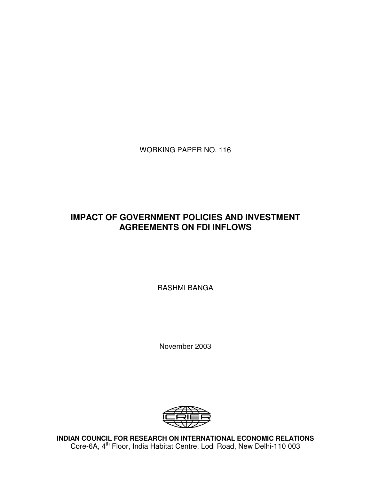WORKING PAPER NO. 116

# **IMPACT OF GOVERNMENT POLICIES AND INVESTMENT AGREEMENTS ON FDI INFLOWS**

RASHMI BANGA

November 2003



**INDIAN COUNCIL FOR RESEARCH ON INTERNATIONAL ECONOMIC RELATIONS** Core-6A, 4<sup>th</sup> Floor, India Habitat Centre, Lodi Road, New Delhi-110 003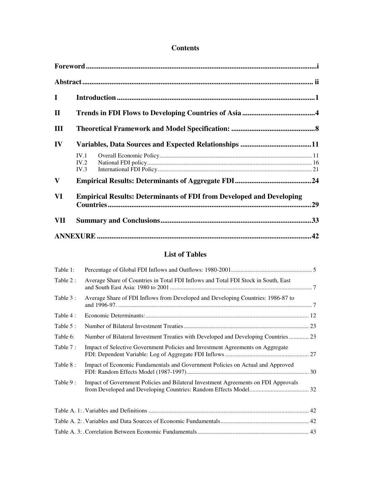# **Contents**

| $\mathbf I$  |                      |                                                                             |     |
|--------------|----------------------|-----------------------------------------------------------------------------|-----|
| $\mathbf{I}$ |                      |                                                                             |     |
| III          |                      |                                                                             |     |
| IV           |                      |                                                                             |     |
|              | IV.1<br>IV.2<br>IV.3 |                                                                             |     |
| $\mathbf{V}$ |                      |                                                                             |     |
| VI           |                      | <b>Empirical Results: Determinants of FDI from Developed and Developing</b> | .29 |
| VII          |                      |                                                                             |     |
|              |                      |                                                                             |     |

# **List of Tables**

| Table 1:  |                                                                                    |  |
|-----------|------------------------------------------------------------------------------------|--|
| Table 2:  | Average Share of Countries in Total FDI Inflows and Total FDI Stock in South, East |  |
| Table 3 : | Average Share of FDI Inflows from Developed and Developing Countries: 1986-87 to   |  |
| Table 4:  |                                                                                    |  |
| Table 5 : |                                                                                    |  |
| Table 6:  | Number of Bilateral Investment Treaties with Developed and Developing Countries 23 |  |
| Table 7 : | Impact of Selective Government Policies and Investment Agreements on Aggregate     |  |
| Table 8:  | Impact of Economic Fundamentals and Government Policies on Actual and Approved     |  |
| Table 9:  | Impact of Government Policies and Bilateral Investment Agreements on FDI Approvals |  |
|           |                                                                                    |  |
|           |                                                                                    |  |
|           |                                                                                    |  |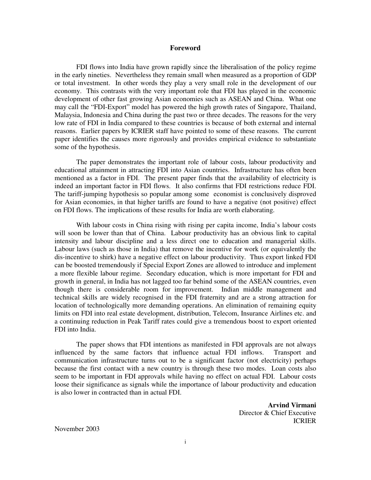#### **Foreword**

FDI flows into India have grown rapidly since the liberalisation of the policy regime in the early nineties. Nevertheless they remain small when measured as a proportion of GDP or total investment. In other words they play a very small role in the development of our economy. This contrasts with the very important role that FDI has played in the economic development of other fast growing Asian economies such as ASEAN and China. What one may call the "FDI-Export" model has powered the high growth rates of Singapore, Thailand, Malaysia, Indonesia and China during the past two or three decades. The reasons for the very low rate of FDI in India compared to these countries is because of both external and internal reasons. Earlier papers by ICRIER staff have pointed to some of these reasons. The current paper identifies the causes more rigorously and provides empirical evidence to substantiate some of the hypothesis.

The paper demonstrates the important role of labour costs, labour productivity and educational attainment in attracting FDI into Asian countries. Infrastructure has often been mentioned as a factor in FDI. The present paper finds that the availability of electricity is indeed an important factor in FDI flows. It also confirms that FDI restrictions reduce FDI. The tariff-jumping hypothesis so popular among some economist is conclusively disproved for Asian economies, in that higher tariffs are found to have a negative (not positive) effect on FDI flows. The implications of these results for India are worth elaborating.

With labour costs in China rising with rising per capita income, India's labour costs will soon be lower than that of China. Labour productivity has an obvious link to capital intensity and labour discipline and a less direct one to education and managerial skills. Labour laws (such as those in India) that remove the incentive for work (or equivalently the dis-incentive to shirk) have a negative effect on labour productivity. Thus export linked FDI can be boosted tremendously if Special Export Zones are allowed to introduce and implement a more flexible labour regime. Secondary education, which is more important for FDI and growth in general, in India has not lagged too far behind some of the ASEAN countries, even though there is considerable room for improvement. Indian middle management and technical skills are widely recognised in the FDI fraternity and are a strong attraction for location of technologically more demanding operations. An elimination of remaining equity limits on FDI into real estate development, distribution, Telecom, Insurance Airlines etc. and a continuing reduction in Peak Tariff rates could give a tremendous boost to export oriented FDI into India.

The paper shows that FDI intentions as manifested in FDI approvals are not always influenced by the same factors that influence actual FDI inflows. Transport and communication infrastructure turns out to be a significant factor (not electricity) perhaps because the first contact with a new country is through these two modes. Loan costs also seem to be important in FDI approvals while having no effect on actual FDI. Labour costs loose their significance as signals while the importance of labour productivity and education is also lower in contracted than in actual FDI.

> **Arvind Virmani** Director & Chief Executive ICRIER

November 2003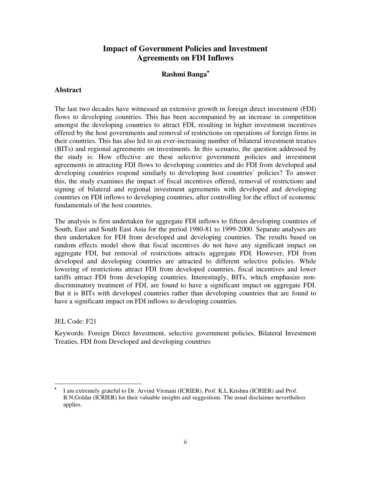# **Impact of Government Policies and Investment Agreements on FDI Inflows**

# **Rashmi Banga**•

#### **Abstract**

The last two decades have witnessed an extensive growth in foreign direct investment (FDI) flows to developing countries. This has been accompanied by an increase in competition amongst the developing countries to attract FDI, resulting in higher investment incentives offered by the host governments and removal of restrictions on operations of foreign firms in their countries. This has also led to an ever-increasing number of bilateral investment treaties (BITs) and regional agreements on investments. In this scenario, the question addressed by the study is: How effective are these selective government policies and investment agreements in attracting FDI flows to developing countries and do FDI from developed and developing countries respond similarly to developing host countries' policies? To answer this, the study examines the impact of fiscal incentives offered, removal of restrictions and signing of bilateral and regional investment agreements with developed and developing countries on FDI inflows to developing countries, after controlling for the effect of economic fundamentals of the host countries.

The analysis is first undertaken for aggregate FDI inflows to fifteen developing countries of South, East and South East Asia for the period 1980-81 to 1999-2000. Separate analyses are then undertaken for FDI from developed and developing countries. The results based on random effects model show that fiscal incentives do not have any significant impact on aggregate FDI, but removal of restrictions attracts aggregate FDI. However, FDI from developed and developing countries are attracted to different selective policies. While lowering of restrictions attract FDI from developed countries, fiscal incentives and lower tariffs attract FDI from developing countries. Interestingly, BITs, which emphasize nondiscriminatory treatment of FDI, are found to have a significant impact on aggregate FDI. But it is BITs with developed countries rather than developing countries that are found to have a significant impact on FDI inflows to developing countries.

JEL Code: F21

 $\overline{a}$ 

Keywords: Foreign Direct Investment, selective government policies, Bilateral Investment Treaties, FDI from Developed and developing countries

<sup>•</sup> I am extremely grateful to Dr. Arvind Virmani (ICRIER), Prof. K.L.Krishna (ICRIER) and Prof. B.N.Goldar (ICRIER) for their valuable insights and suggestions. The usual disclaimer nevertheless applies.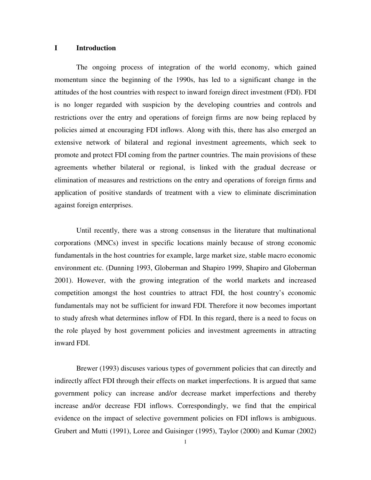#### **I Introduction**

The ongoing process of integration of the world economy, which gained momentum since the beginning of the 1990s, has led to a significant change in the attitudes of the host countries with respect to inward foreign direct investment (FDI). FDI is no longer regarded with suspicion by the developing countries and controls and restrictions over the entry and operations of foreign firms are now being replaced by policies aimed at encouraging FDI inflows. Along with this, there has also emerged an extensive network of bilateral and regional investment agreements, which seek to promote and protect FDI coming from the partner countries. The main provisions of these agreements whether bilateral or regional, is linked with the gradual decrease or elimination of measures and restrictions on the entry and operations of foreign firms and application of positive standards of treatment with a view to eliminate discrimination against foreign enterprises.

Until recently, there was a strong consensus in the literature that multinational corporations (MNCs) invest in specific locations mainly because of strong economic fundamentals in the host countries for example, large market size, stable macro economic environment etc. (Dunning 1993, Globerman and Shapiro 1999, Shapiro and Globerman 2001). However, with the growing integration of the world markets and increased competition amongst the host countries to attract FDI, the host country's economic fundamentals may not be sufficient for inward FDI. Therefore it now becomes important to study afresh what determines inflow of FDI. In this regard, there is a need to focus on the role played by host government policies and investment agreements in attracting inward FDI.

Brewer (1993) discuses various types of government policies that can directly and indirectly affect FDI through their effects on market imperfections. It is argued that same government policy can increase and/or decrease market imperfections and thereby increase and/or decrease FDI inflows. Correspondingly, we find that the empirical evidence on the impact of selective government policies on FDI inflows is ambiguous. Grubert and Mutti (1991), Loree and Guisinger (1995), Taylor (2000) and Kumar (2002)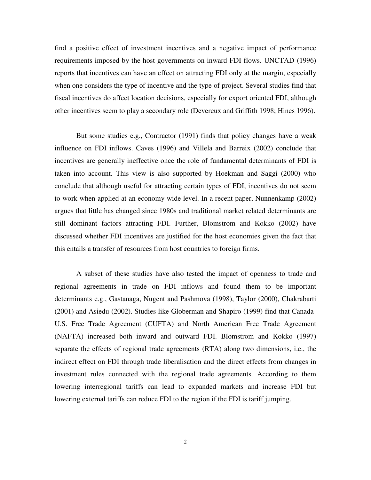find a positive effect of investment incentives and a negative impact of performance requirements imposed by the host governments on inward FDI flows. UNCTAD (1996) reports that incentives can have an effect on attracting FDI only at the margin, especially when one considers the type of incentive and the type of project. Several studies find that fiscal incentives do affect location decisions, especially for export oriented FDI, although other incentives seem to play a secondary role (Devereux and Griffith 1998; Hines 1996).

But some studies e.g., Contractor (1991) finds that policy changes have a weak influence on FDI inflows. Caves (1996) and Villela and Barreix (2002) conclude that incentives are generally ineffective once the role of fundamental determinants of FDI is taken into account. This view is also supported by Hoekman and Saggi (2000) who conclude that although useful for attracting certain types of FDI, incentives do not seem to work when applied at an economy wide level. In a recent paper, Nunnenkamp (2002) argues that little has changed since 1980s and traditional market related determinants are still dominant factors attracting FDI. Further, Blomstrom and Kokko (2002) have discussed whether FDI incentives are justified for the host economies given the fact that this entails a transfer of resources from host countries to foreign firms.

A subset of these studies have also tested the impact of openness to trade and regional agreements in trade on FDI inflows and found them to be important determinants e.g., Gastanaga, Nugent and Pashmova (1998), Taylor (2000), Chakrabarti (2001) and Asiedu (2002). Studies like Globerman and Shapiro (1999) find that Canada-U.S. Free Trade Agreement (CUFTA) and North American Free Trade Agreement (NAFTA) increased both inward and outward FDI. Blomstrom and Kokko (1997) separate the effects of regional trade agreements (RTA) along two dimensions, i.e., the indirect effect on FDI through trade liberalisation and the direct effects from changes in investment rules connected with the regional trade agreements. According to them lowering interregional tariffs can lead to expanded markets and increase FDI but lowering external tariffs can reduce FDI to the region if the FDI is tariff jumping.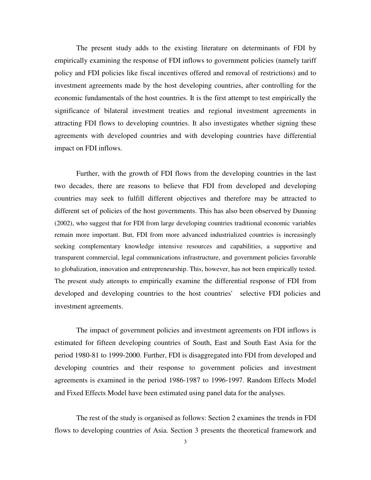The present study adds to the existing literature on determinants of FDI by empirically examining the response of FDI inflows to government policies (namely tariff policy and FDI policies like fiscal incentives offered and removal of restrictions) and to investment agreements made by the host developing countries, after controlling for the economic fundamentals of the host countries. It is the first attempt to test empirically the significance of bilateral investment treaties and regional investment agreements in attracting FDI flows to developing countries. It also investigates whether signing these agreements with developed countries and with developing countries have differential impact on FDI inflows.

Further, with the growth of FDI flows from the developing countries in the last two decades, there are reasons to believe that FDI from developed and developing countries may seek to fulfill different objectives and therefore may be attracted to different set of policies of the host governments. This has also been observed by Dunning (2002), who suggest that for FDI from large developing countries traditional economic variables remain more important. But, FDI from more advanced industrialized countries is increasingly seeking complementary knowledge intensive resources and capabilities, a supportive and transparent commercial, legal communications infrastructure, and government policies favorable to globalization, innovation and entrepreneurship. This, however, has not been empirically tested. The present study attempts to empirically examine the differential response of FDI from developed and developing countries to the host countries' selective FDI policies and investment agreements.

The impact of government policies and investment agreements on FDI inflows is estimated for fifteen developing countries of South, East and South East Asia for the period 1980-81 to 1999-2000. Further, FDI is disaggregated into FDI from developed and developing countries and their response to government policies and investment agreements is examined in the period 1986-1987 to 1996-1997. Random Effects Model and Fixed Effects Model have been estimated using panel data for the analyses.

The rest of the study is organised as follows: Section 2 examines the trends in FDI flows to developing countries of Asia. Section 3 presents the theoretical framework and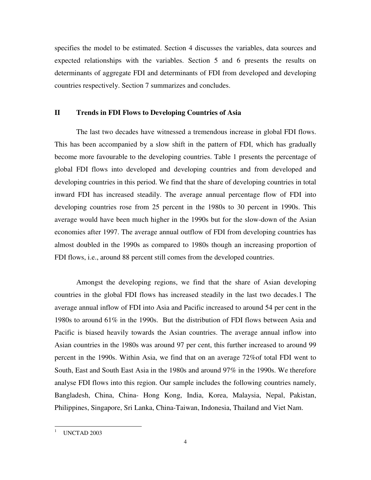specifies the model to be estimated. Section 4 discusses the variables, data sources and expected relationships with the variables. Section 5 and 6 presents the results on determinants of aggregate FDI and determinants of FDI from developed and developing countries respectively. Section 7 summarizes and concludes.

#### **II Trends in FDI Flows to Developing Countries of Asia**

The last two decades have witnessed a tremendous increase in global FDI flows. This has been accompanied by a slow shift in the pattern of FDI, which has gradually become more favourable to the developing countries. Table 1 presents the percentage of global FDI flows into developed and developing countries and from developed and developing countries in this period. We find that the share of developing countries in total inward FDI has increased steadily. The average annual percentage flow of FDI into developing countries rose from 25 percent in the 1980s to 30 percent in 1990s. This average would have been much higher in the 1990s but for the slow-down of the Asian economies after 1997. The average annual outflow of FDI from developing countries has almost doubled in the 1990s as compared to 1980s though an increasing proportion of FDI flows, i.e., around 88 percent still comes from the developed countries.

Amongst the developing regions, we find that the share of Asian developing countries in the global FDI flows has increased steadily in the last two decades.1 The average annual inflow of FDI into Asia and Pacific increased to around 54 per cent in the 1980s to around 61% in the 1990s. But the distribution of FDI flows between Asia and Pacific is biased heavily towards the Asian countries. The average annual inflow into Asian countries in the 1980s was around 97 per cent, this further increased to around 99 percent in the 1990s. Within Asia, we find that on an average 72%of total FDI went to South, East and South East Asia in the 1980s and around 97% in the 1990s. We therefore analyse FDI flows into this region. Our sample includes the following countries namely, Bangladesh, China, China- Hong Kong, India, Korea, Malaysia, Nepal, Pakistan, Philippines, Singapore, Sri Lanka, China-Taiwan, Indonesia, Thailand and Viet Nam.

UNCTAD 2003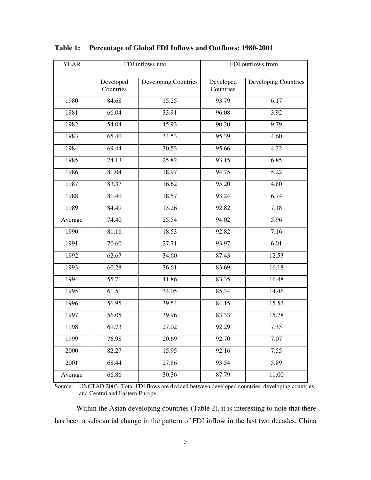| <b>YEAR</b> | FDI inflows into       |                      | FDI outflows from      |                             |  |
|-------------|------------------------|----------------------|------------------------|-----------------------------|--|
|             | Developed<br>Countries | Developing Countries | Developed<br>Countries | <b>Developing Countries</b> |  |
| 1980        | 84.68                  | 15.25                | 93.79                  | 6.17                        |  |
| 1981        | 66.04                  | 33.91                | 96.08                  | 3.92                        |  |
| 1982        | 54.04                  | 45.93                | 90.20                  | 9.79                        |  |
| 1983        | 65.40                  | 34.53                | 95.39                  | 4.60                        |  |
| 1984        | 69.44                  | 30.53                | 95.66                  | 4.32                        |  |
| 1985        | 74.13                  | 25.82                | 93.15                  | 6.85                        |  |
| 1986        | 81.04                  | 18.97                | 94.75                  | 5.22                        |  |
| 1987        | 83.37                  | 16.62                | 95.20                  | 4.80                        |  |
| 1988        | 81.40                  | 18.57                | 93.24                  | 6.74                        |  |
| 1989        | 84.49                  | 15.26                | 92.82                  | 7.18                        |  |
| Average     | 74.40                  | 25.54                | 94.02                  | 5.96                        |  |
| 1990        | 81.16                  | 18.53                | 92.82                  | 7.16                        |  |
| 1991        | 70.60                  | 27.71                | 93.97                  | 6.01                        |  |
| 1992        | 62.67                  | 34.60                | 87.43                  | 12.53                       |  |
| 1993        | 60.28                  | 36.61                | 83.69                  | 16.18                       |  |
| 1994        | 55.71                  | 41.86                | 83.35                  | 16.48                       |  |
| 1995        | 61.51                  | 34.05                | 85.34                  | 14.46                       |  |
| 1996        | 56.95                  | 39.54                | 84.15                  | 15.52                       |  |
| 1997        | 56.05                  | 39.96                | 83.33                  | 15.78                       |  |
| 1998        | 69.73                  | 27.02                | 92.29                  | 7.35                        |  |
| 1999        | 76.98                  | 20.69                | 92.70                  | 7.07                        |  |
| 2000        | 82.27                  | 15.95                | 92.16                  | 7.55                        |  |
| 2001        | 68.44                  | 27.86                | 93.54                  | 5.89                        |  |
| Average     | 66.86                  | 30.36                | 87.79                  | 11.00                       |  |

# **Table 1: Percentage of Global FDI Inflows and Outflows: 1980-2001**

Source: UNCTAD 2003. Total FDI flows are divided between developed countries, developing countries and Central and Eastern Europe

Within the Asian developing countries (Table 2), it is interesting to note that there has been a substantial change in the pattern of FDI inflow in the last two decades. China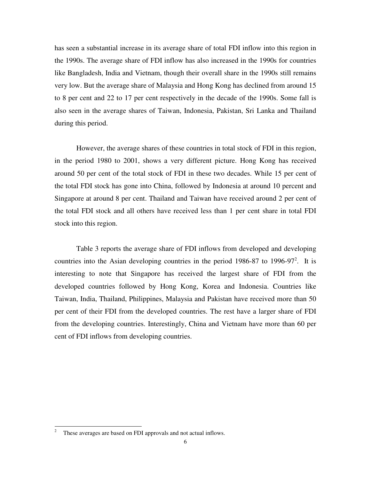has seen a substantial increase in its average share of total FDI inflow into this region in the 1990s. The average share of FDI inflow has also increased in the 1990s for countries like Bangladesh, India and Vietnam, though their overall share in the 1990s still remains very low. But the average share of Malaysia and Hong Kong has declined from around 15 to 8 per cent and 22 to 17 per cent respectively in the decade of the 1990s. Some fall is also seen in the average shares of Taiwan, Indonesia, Pakistan, Sri Lanka and Thailand during this period.

However, the average shares of these countries in total stock of FDI in this region, in the period 1980 to 2001, shows a very different picture. Hong Kong has received around 50 per cent of the total stock of FDI in these two decades. While 15 per cent of the total FDI stock has gone into China, followed by Indonesia at around 10 percent and Singapore at around 8 per cent. Thailand and Taiwan have received around 2 per cent of the total FDI stock and all others have received less than 1 per cent share in total FDI stock into this region.

Table 3 reports the average share of FDI inflows from developed and developing countries into the Asian developing countries in the period 1986-87 to 1996-97<sup>2</sup>. It is interesting to note that Singapore has received the largest share of FDI from the developed countries followed by Hong Kong, Korea and Indonesia. Countries like Taiwan, India, Thailand, Philippines, Malaysia and Pakistan have received more than 50 per cent of their FDI from the developed countries. The rest have a larger share of FDI from the developing countries. Interestingly, China and Vietnam have more than 60 per cent of FDI inflows from developing countries.

<sup>2</sup> These averages are based on FDI approvals and not actual inflows.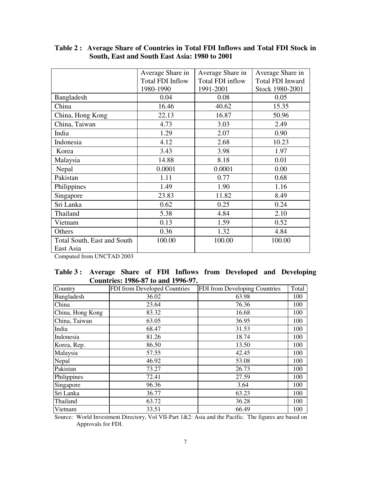|                                          | Average Share in        | Average Share in | Average Share in |
|------------------------------------------|-------------------------|------------------|------------------|
|                                          | <b>Total FDI Inflow</b> | Total FDI inflow | Total FDI Inward |
|                                          | 1980-1990               | 1991-2001        | Stock 1980-2001  |
| Bangladesh                               | 0.04                    | 0.08             | 0.05             |
| China                                    | 16.46                   | 40.62            | 15.35            |
| China, Hong Kong                         | 22.13                   | 16.87            | 50.96            |
| China, Taiwan                            | 4.73                    | 3.03             | 2.49             |
| India                                    | 1.29                    | 2.07             | 0.90             |
| Indonesia                                | 4.12                    | 2.68             | 10.23            |
| Korea                                    | 3.43                    | 3.98             | 1.97             |
| Malaysia                                 | 14.88                   | 8.18             | 0.01             |
| Nepal                                    | 0.0001                  | 0.0001           | 0.00             |
| Pakistan                                 | 1.11                    | 0.77             | 0.68             |
| Philippines                              | 1.49                    | 1.90             | 1.16             |
| Singapore                                | 23.83                   | 11.82            | 8.49             |
| Sri Lanka                                | 0.62                    | 0.25             | 0.24             |
| Thailand                                 | 5.38                    | 4.84             | 2.10             |
| Vietnam                                  | 0.13                    | 1.59             | 0.52             |
| Others                                   | 0.36                    | 1.32             | 4.84             |
| Total South, East and South<br>East Asia | 100.00                  | 100.00           | 100.00           |

# **Table 2 : Average Share of Countries in Total FDI Inflows and Total FDI Stock in South, East and South East Asia: 1980 to 2001**

Computed from UNCTAD 2003

# **Table 3 : Average Share of FDI Inflows from Developed and Developing Countries: 1986-87 to and 1996-97.**

| Country          | FDI from Developed Countries | FDI from Developing Countries | Total |
|------------------|------------------------------|-------------------------------|-------|
| Bangladesh       | 36.02                        | 63.98                         | 100   |
| China            | 23.64                        | 76.36                         | 100   |
| China, Hong Kong | 83.32                        | 16.68                         | 100   |
| China, Taiwan    | 63.05                        | 36.95                         | 100   |
| India            | 68.47                        | 31.53                         | 100   |
| Indonesia        | 81.26                        | 18.74                         | 100   |
| Korea, Rep.      | 86.50                        | 13.50                         | 100   |
| Malaysia         | 57.55                        | 42.45                         | 100   |
| Nepal            | 46.92                        | 53.08                         | 100   |
| Pakistan         | 73.27                        | 26.73                         | 100   |
| Philippines      | 72.41                        | 27.59                         | 100   |
| Singapore        | 96.36                        | 3.64                          | 100   |
| Sri Lanka        | 36.77                        | 63.23                         | 100   |
| Thailand         | 63.72                        | 36.28                         | 100   |
| Vietnam          | 33.51                        | 66.49                         | 100   |

Source: World Investment Directory, Vol VII-Part 1&2: Asia and the Pacific. The figures are based on Approvals for FDI.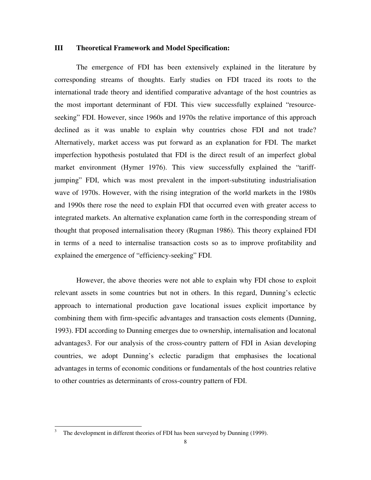#### **III Theoretical Framework and Model Specification:**

The emergence of FDI has been extensively explained in the literature by corresponding streams of thoughts. Early studies on FDI traced its roots to the international trade theory and identified comparative advantage of the host countries as the most important determinant of FDI. This view successfully explained "resourceseeking" FDI. However, since 1960s and 1970s the relative importance of this approach declined as it was unable to explain why countries chose FDI and not trade? Alternatively, market access was put forward as an explanation for FDI. The market imperfection hypothesis postulated that FDI is the direct result of an imperfect global market environment (Hymer 1976). This view successfully explained the "tariffjumping" FDI, which was most prevalent in the import-substituting industrialisation wave of 1970s. However, with the rising integration of the world markets in the 1980s and 1990s there rose the need to explain FDI that occurred even with greater access to integrated markets. An alternative explanation came forth in the corresponding stream of thought that proposed internalisation theory (Rugman 1986). This theory explained FDI in terms of a need to internalise transaction costs so as to improve profitability and explained the emergence of "efficiency-seeking" FDI.

However, the above theories were not able to explain why FDI chose to exploit relevant assets in some countries but not in others. In this regard, Dunning's eclectic approach to international production gave locational issues explicit importance by combining them with firm-specific advantages and transaction costs elements (Dunning, 1993). FDI according to Dunning emerges due to ownership, internalisation and locatonal advantages3. For our analysis of the cross-country pattern of FDI in Asian developing countries, we adopt Dunning's eclectic paradigm that emphasises the locational advantages in terms of economic conditions or fundamentals of the host countries relative to other countries as determinants of cross-country pattern of FDI.

<sup>3</sup> The development in different theories of FDI has been surveyed by Dunning (1999).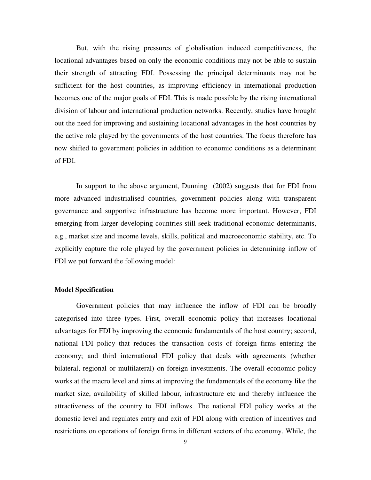But, with the rising pressures of globalisation induced competitiveness, the locational advantages based on only the economic conditions may not be able to sustain their strength of attracting FDI. Possessing the principal determinants may not be sufficient for the host countries, as improving efficiency in international production becomes one of the major goals of FDI. This is made possible by the rising international division of labour and international production networks. Recently, studies have brought out the need for improving and sustaining locational advantages in the host countries by the active role played by the governments of the host countries. The focus therefore has now shifted to government policies in addition to economic conditions as a determinant of FDI.

In support to the above argument, Dunning (2002) suggests that for FDI from more advanced industrialised countries, government policies along with transparent governance and supportive infrastructure has become more important. However, FDI emerging from larger developing countries still seek traditional economic determinants, e.g., market size and income levels, skills, political and macroeconomic stability, etc. To explicitly capture the role played by the government policies in determining inflow of FDI we put forward the following model:

### **Model Specification**

Government policies that may influence the inflow of FDI can be broadly categorised into three types. First, overall economic policy that increases locational advantages for FDI by improving the economic fundamentals of the host country; second, national FDI policy that reduces the transaction costs of foreign firms entering the economy; and third international FDI policy that deals with agreements (whether bilateral, regional or multilateral) on foreign investments. The overall economic policy works at the macro level and aims at improving the fundamentals of the economy like the market size, availability of skilled labour, infrastructure etc and thereby influence the attractiveness of the country to FDI inflows. The national FDI policy works at the domestic level and regulates entry and exit of FDI along with creation of incentives and restrictions on operations of foreign firms in different sectors of the economy. While, the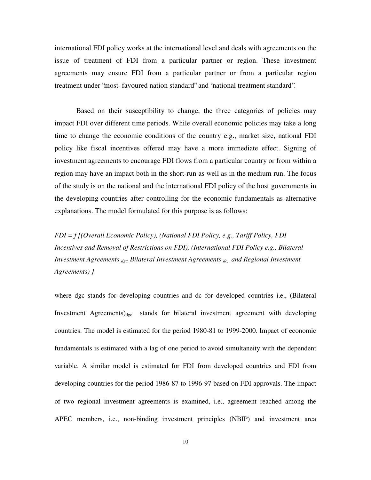international FDI policy works at the international level and deals with agreements on the issue of treatment of FDI from a particular partner or region. These investment agreements may ensure FDI from a particular partner or from a particular region treatment under "most-favoured nation standard" and "national treatment standard".

Based on their susceptibility to change, the three categories of policies may impact FDI over different time periods. While overall economic policies may take a long time to change the economic conditions of the country e.g., market size, national FDI policy like fiscal incentives offered may have a more immediate effect. Signing of investment agreements to encourage FDI flows from a particular country or from within a region may have an impact both in the short-run as well as in the medium run. The focus of the study is on the national and the international FDI policy of the host governments in the developing countries after controlling for the economic fundamentals as alternative explanations. The model formulated for this purpose is as follows:

*FDI = f [(Overall Economic Policy), (National FDI Policy, e.g., Tariff Policy, FDI Incentives and Removal of Restrictions on FDI), (International FDI Policy e.g., Bilateral Investment Agreements dgc, Bilateral Investment Agreements dc, and Regional Investment Agreements) }*

where dgc stands for developing countries and dc for developed countries i.e., (Bilateral Investment Agreements) $d_{\text{gc}}$  stands for bilateral investment agreement with developing countries. The model is estimated for the period 1980-81 to 1999-2000. Impact of economic fundamentals is estimated with a lag of one period to avoid simultaneity with the dependent variable. A similar model is estimated for FDI from developed countries and FDI from developing countries for the period 1986-87 to 1996-97 based on FDI approvals. The impact of two regional investment agreements is examined, i.e., agreement reached among the APEC members, i.e., non-binding investment principles (NBIP) and investment area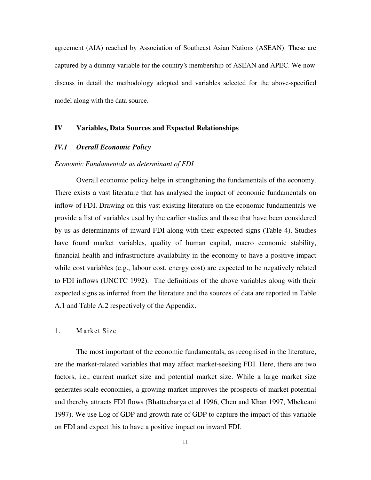agreement (AIA) reached by Association of Southeast Asian Nations (ASEAN). These are captured by a dummy variable for the country's membership of ASEAN and APEC. We now discuss in detail the methodology adopted and variables selected for the above-specified model along with the data source.

# **IV Variables, Data Sources and Expected Relationships**

### *IV.1 Overall Economic Policy*

#### *Economic Fundamentals as determinant of FDI*

Overall economic policy helps in strengthening the fundamentals of the economy. There exists a vast literature that has analysed the impact of economic fundamentals on inflow of FDI. Drawing on this vast existing literature on the economic fundamentals we provide a list of variables used by the earlier studies and those that have been considered by us as determinants of inward FDI along with their expected signs (Table 4). Studies have found market variables, quality of human capital, macro economic stability, financial health and infrastructure availability in the economy to have a positive impact while cost variables (e.g., labour cost, energy cost) are expected to be negatively related to FDI inflows (UNCTC 1992). The definitions of the above variables along with their expected signs as inferred from the literature and the sources of data are reported in Table A.1 and Table A.2 respectively of the Appendix.

### 1. Market Size

The most important of the economic fundamentals, as recognised in the literature, are the market-related variables that may affect market-seeking FDI. Here, there are two factors, i.e., current market size and potential market size. While a large market size generates scale economies, a growing market improves the prospects of market potential and thereby attracts FDI flows (Bhattacharya et al 1996, Chen and Khan 1997, Mbekeani 1997). We use Log of GDP and growth rate of GDP to capture the impact of this variable on FDI and expect this to have a positive impact on inward FDI.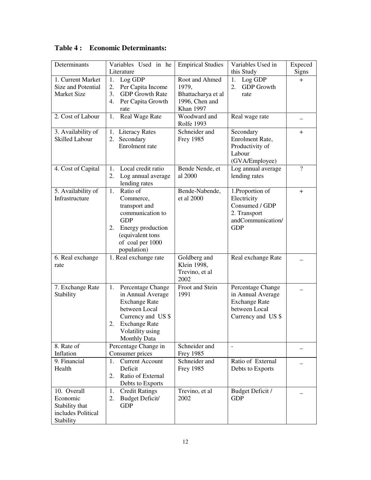| Determinants          | Variables Used in he         | <b>Empirical Studies</b> | Variables Used in        | Expeced        |
|-----------------------|------------------------------|--------------------------|--------------------------|----------------|
|                       | Literature                   |                          | this Study               | Signs          |
| 1. Current Market     | Log GDP<br>1.                | Root and Ahmed           | Log GDP<br>1.            | $\overline{+}$ |
| Size and Potential    | 2.<br>Per Capita Income      | 1979,                    | 2.<br><b>GDP</b> Growth  |                |
| <b>Market Size</b>    | <b>GDP</b> Growth Rate<br>3. | Bhattacharya et al       | rate                     |                |
|                       | 4.<br>Per Capita Growth      | 1996, Chen and           |                          |                |
|                       | rate                         | <b>Khan 1997</b>         |                          |                |
| 2. Cost of Labour     | Real Wage Rate<br>1.         | Woodward and             | Real wage rate           |                |
|                       |                              | <b>Rolfe 1993</b>        |                          |                |
| 3. Availability of    | 1. Literacy Rates            | Schneider and            | Secondary                | $\pm$          |
| <b>Skilled Labour</b> | 2. Secondary                 | <b>Frey 1985</b>         | Enrolment Rate,          |                |
|                       | Enrolment rate               |                          | Productivity of          |                |
|                       |                              |                          | Labour                   |                |
|                       |                              |                          | (GVA/Employee)           |                |
| 4. Cost of Capital    | Local credit ratio<br>1.     | Bende Nende, et          | Log annual average       | $\overline{?}$ |
|                       | 2.<br>Log annual average     | al 2000                  | lending rates            |                |
|                       | lending rates                |                          |                          |                |
| 5. Availability of    | Ratio of<br>1.               | Bende-Nabende,           | 1.Proportion of          | $+$            |
| Infrastructure        | Commerce,                    | et al 2000               | Electricity              |                |
|                       | transport and                |                          | Consumed / GDP           |                |
|                       | communication to             |                          | 2. Transport             |                |
|                       | <b>GDP</b>                   |                          | andCommunication/        |                |
|                       | Energy production<br>2.      |                          | <b>GDP</b>               |                |
|                       | (equivalent tons             |                          |                          |                |
|                       | of coal per 1000             |                          |                          |                |
|                       | population)                  |                          |                          |                |
| 6. Real exchange      | 1. Real exchange rate        | Goldberg and             | Real exchange Rate       |                |
| rate                  |                              | Klein 1998,              |                          |                |
|                       |                              | Trevino, et al           |                          |                |
|                       |                              | 2002                     |                          |                |
| 7. Exchange Rate      | Percentage Change<br>1.      | Froot and Stein          | Percentage Change        |                |
| Stability             | in Annual Average            | 1991                     | in Annual Average        |                |
|                       | <b>Exchange Rate</b>         |                          | <b>Exchange Rate</b>     |                |
|                       | between Local                |                          | between Local            |                |
|                       | Currency and US \$           |                          | Currency and US \$       |                |
|                       | <b>Exchange Rate</b><br>2.   |                          |                          |                |
|                       | Volatility using             |                          |                          |                |
|                       | <b>Monthly Data</b>          |                          |                          |                |
| 8. Rate of            | Percentage Change in         | Schneider and            | $\overline{\phantom{a}}$ |                |
| Inflation             | Consumer prices              | <b>Frey 1985</b>         |                          |                |
| 9. Financial          | <b>Current Account</b><br>1. | Schneider and            | Ratio of External        |                |
| Health                | Deficit                      | <b>Frey 1985</b>         | Debts to Exports         |                |
|                       | Ratio of External<br>2.      |                          |                          |                |
|                       | Debts to Exports             |                          |                          |                |
| 10. Overall           | <b>Credit Ratings</b><br>1.  | Trevino, et al           | Budget Deficit /         |                |
| Economic              | Budget Deficit/<br>2.        | 2002                     | <b>GDP</b>               |                |
| Stability that        | <b>GDP</b>                   |                          |                          |                |
| includes Political    |                              |                          |                          |                |
| Stability             |                              |                          |                          |                |

**Table 4 : Economic Determinants:**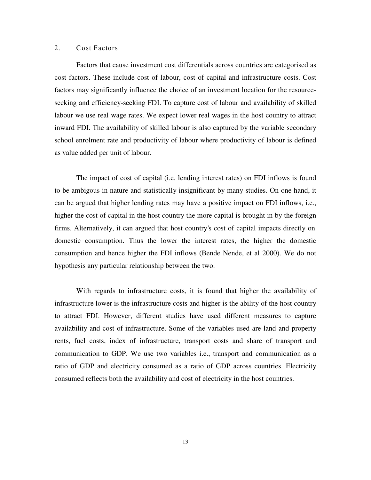# 2. Cost Factors

Factors that cause investment cost differentials across countries are categorised as cost factors. These include cost of labour, cost of capital and infrastructure costs. Cost factors may significantly influence the choice of an investment location for the resourceseeking and efficiency-seeking FDI. To capture cost of labour and availability of skilled labour we use real wage rates. We expect lower real wages in the host country to attract inward FDI. The availability of skilled labour is also captured by the variable secondary school enrolment rate and productivity of labour where productivity of labour is defined as value added per unit of labour.

The impact of cost of capital (i.e. lending interest rates) on FDI inflows is found to be ambigous in nature and statistically insignificant by many studies. On one hand, it can be argued that higher lending rates may have a positive impact on FDI inflows, i.e., higher the cost of capital in the host country the more capital is brought in by the foreign firms. Alternatively, it can argued that host country's cost of capital impacts directly on domestic consumption. Thus the lower the interest rates, the higher the domestic consumption and hence higher the FDI inflows (Bende Nende, et al 2000). We do not hypothesis any particular relationship between the two.

With regards to infrastructure costs, it is found that higher the availability of infrastructure lower is the infrastructure costs and higher is the ability of the host country to attract FDI. However, different studies have used different measures to capture availability and cost of infrastructure. Some of the variables used are land and property rents, fuel costs, index of infrastructure, transport costs and share of transport and communication to GDP. We use two variables i.e., transport and communication as a ratio of GDP and electricity consumed as a ratio of GDP across countries. Electricity consumed reflects both the availability and cost of electricity in the host countries.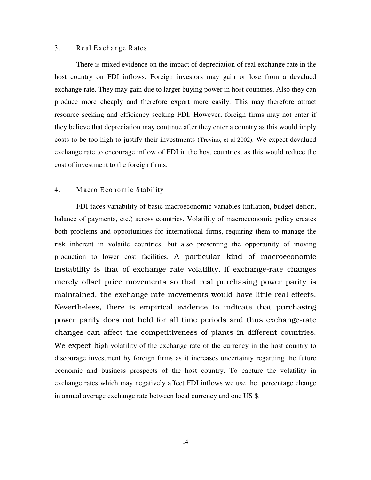### 3. Real Exchange Rates

There is mixed evidence on the impact of depreciation of real exchange rate in the host country on FDI inflows. Foreign investors may gain or lose from a devalued exchange rate. They may gain due to larger buying power in host countries. Also they can produce more cheaply and therefore export more easily. This may therefore attract resource seeking and efficiency seeking FDI. However, foreign firms may not enter if they believe that depreciation may continue after they enter a country as this would imply costs to be too high to justify their investments (Trevino, et al 2002). We expect devalued exchange rate to encourage inflow of FDI in the host countries, as this would reduce the cost of investment to the foreign firms.

# 4. Macro Economic Stability

FDI faces variability of basic macroeconomic variables (inflation, budget deficit, balance of payments, etc.) across countries. Volatility of macroeconomic policy creates both problems and opportunities for international firms, requiring them to manage the risk inherent in volatile countries, but also presenting the opportunity of moving production to lower cost facilities. A particular kind of macroeconomic instability is that of exchange rate volatility. If exchange-rate changes merely offset price movements so that real purchasing power parity is maintained, the exchange-rate movements would have little real effects. Nevertheless, there is empirical evidence to indicate that purchasing power parity does not hold for all time periods and thus exchange-rate changes can affect the competitiveness of plants in different countries. We expect high volatility of the exchange rate of the currency in the host country to discourage investment by foreign firms as it increases uncertainty regarding the future economic and business prospects of the host country. To capture the volatility in exchange rates which may negatively affect FDI inflows we use the percentage change in annual average exchange rate between local currency and one US \$.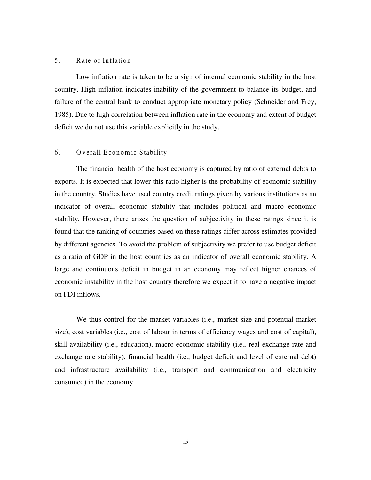# 5. Rate of Inflation

Low inflation rate is taken to be a sign of internal economic stability in the host country. High inflation indicates inability of the government to balance its budget, and failure of the central bank to conduct appropriate monetary policy (Schneider and Frey, 1985). Due to high correlation between inflation rate in the economy and extent of budget deficit we do not use this variable explicitly in the study.

### 6. Overall Economic Stability

The financial health of the host economy is captured by ratio of external debts to exports. It is expected that lower this ratio higher is the probability of economic stability in the country. Studies have used country credit ratings given by various institutions as an indicator of overall economic stability that includes political and macro economic stability. However, there arises the question of subjectivity in these ratings since it is found that the ranking of countries based on these ratings differ across estimates provided by different agencies. To avoid the problem of subjectivity we prefer to use budget deficit as a ratio of GDP in the host countries as an indicator of overall economic stability. A large and continuous deficit in budget in an economy may reflect higher chances of economic instability in the host country therefore we expect it to have a negative impact on FDI inflows.

We thus control for the market variables (i.e., market size and potential market size), cost variables (i.e., cost of labour in terms of efficiency wages and cost of capital), skill availability (i.e., education), macro-economic stability (i.e., real exchange rate and exchange rate stability), financial health (i.e., budget deficit and level of external debt) and infrastructure availability (i.e., transport and communication and electricity consumed) in the economy.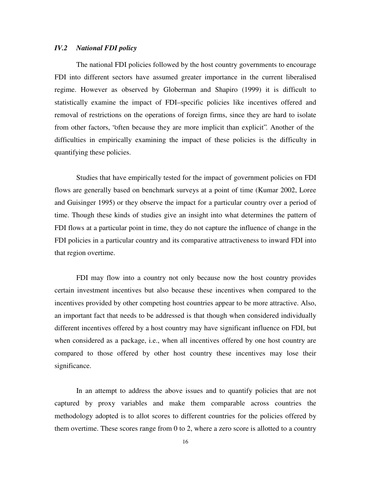### *IV.2 National FDI policy*

The national FDI policies followed by the host country governments to encourage FDI into different sectors have assumed greater importance in the current liberalised regime. However as observed by Globerman and Shapiro (1999) it is difficult to statistically examine the impact of FDI–specific policies like incentives offered and removal of restrictions on the operations of foreign firms, since they are hard to isolate from other factors, "often because they are more implicit than explicit". Another of the difficulties in empirically examining the impact of these policies is the difficulty in quantifying these policies.

Studies that have empirically tested for the impact of government policies on FDI flows are generally based on benchmark surveys at a point of time (Kumar 2002, Loree and Guisinger 1995) or they observe the impact for a particular country over a period of time. Though these kinds of studies give an insight into what determines the pattern of FDI flows at a particular point in time, they do not capture the influence of change in the FDI policies in a particular country and its comparative attractiveness to inward FDI into that region overtime.

FDI may flow into a country not only because now the host country provides certain investment incentives but also because these incentives when compared to the incentives provided by other competing host countries appear to be more attractive. Also, an important fact that needs to be addressed is that though when considered individually different incentives offered by a host country may have significant influence on FDI, but when considered as a package, i.e., when all incentives offered by one host country are compared to those offered by other host country these incentives may lose their significance.

In an attempt to address the above issues and to quantify policies that are not captured by proxy variables and make them comparable across countries the methodology adopted is to allot scores to different countries for the policies offered by them overtime. These scores range from 0 to 2, where a zero score is allotted to a country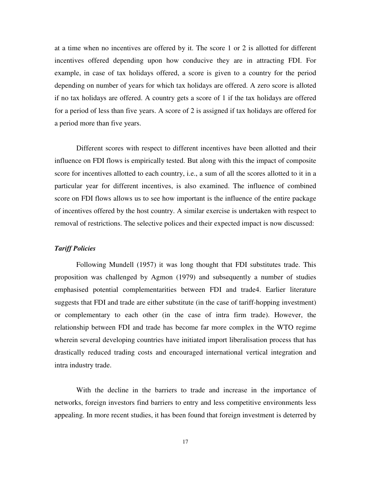at a time when no incentives are offered by it. The score 1 or 2 is allotted for different incentives offered depending upon how conducive they are in attracting FDI. For example, in case of tax holidays offered, a score is given to a country for the period depending on number of years for which tax holidays are offered. A zero score is alloted if no tax holidays are offered. A country gets a score of 1 if the tax holidays are offered for a period of less than five years. A score of 2 is assigned if tax holidays are offered for a period more than five years.

Different scores with respect to different incentives have been allotted and their influence on FDI flows is empirically tested. But along with this the impact of composite score for incentives allotted to each country, i.e., a sum of all the scores allotted to it in a particular year for different incentives, is also examined. The influence of combined score on FDI flows allows us to see how important is the influence of the entire package of incentives offered by the host country. A similar exercise is undertaken with respect to removal of restrictions. The selective polices and their expected impact is now discussed:

#### *Tariff Policies*

Following Mundell (1957) it was long thought that FDI substitutes trade. This proposition was challenged by Agmon (1979) and subsequently a number of studies emphasised potential complementarities between FDI and trade4. Earlier literature suggests that FDI and trade are either substitute (in the case of tariff-hopping investment) or complementary to each other (in the case of intra firm trade). However, the relationship between FDI and trade has become far more complex in the WTO regime wherein several developing countries have initiated import liberalisation process that has drastically reduced trading costs and encouraged international vertical integration and intra industry trade.

With the decline in the barriers to trade and increase in the importance of networks, foreign investors find barriers to entry and less competitive environments less appealing. In more recent studies, it has been found that foreign investment is deterred by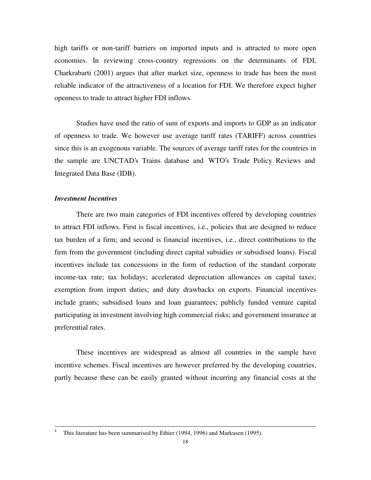high tariffs or non-tariff barriers on imported inputs and is attracted to more open economies. In reviewing cross-country regressions on the determinants of FDI, Charkrabarti (2001) argues that after market size, openness to trade has been the most reliable indicator of the attractiveness of a location for FDI. We therefore expect higher openness to trade to attract higher FDI inflows.

Studies have used the ratio of sum of exports and imports to GDP as an indicator of openness to trade. We however use average tariff rates (TARIFF) across countries since this is an exogenous variable. The sources of average tariff rates for the countries in the sample are UNCTAD's Trains database and WTO's Trade Policy Reviews and Integrated Data Base (IDB).

### *Investment Incentives*

 $\overline{a}$ 

There are two main categories of FDI incentives offered by developing countries to attract FDI inflows. First is fiscal incentives, i.e., policies that are designed to reduce tax burden of a firm; and second is financial incentives, i.e., direct contributions to the firm from the government (including direct capital subsidies or subsidised loans). Fiscal incentives include tax concessions in the form of reduction of the standard corporate income-tax rate; tax holidays; accelerated depreciation allowances on capital taxes; exemption from import duties; and duty drawbacks on exports. Financial incentives include grants; subsidised loans and loan guarantees; publicly funded venture capital participating in investment involving high commercial risks; and government insurance at preferential rates.

These incentives are widespread as almost all countries in the sample have incentive schemes. Fiscal incentives are however preferred by the developing countries, partly because these can be easily granted without incurring any financial costs at the

<sup>4</sup> This literature has been summarised by Ethier (1994, 1996) and Markusen (1995).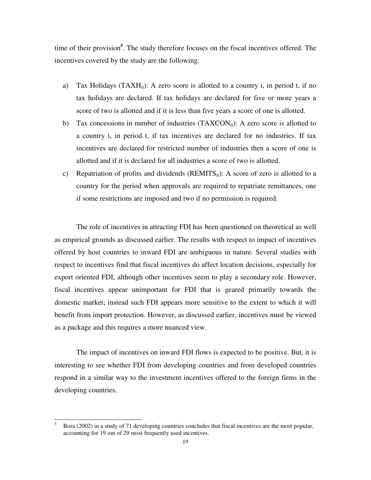time of their provision**<sup>5</sup>** . The study therefore focuses on the fiscal incentives offered. The incentives covered by the study are the following:

- a) Tax Holidays (TAXH<sub>it</sub>): A zero score is allotted to a country i, in period t, if no tax holidays are declared. If tax holidays are declared for five or more years a score of two is allotted and if it is less than five years a score of one is allotted.
- b) Tax concessions in number of industries  $(TAXCON_{it})$ : A zero score is allotted to a country i, in period t, if tax incentives are declared for no industries. If tax incentives are declared for restricted number of industries then a score of one is allotted and if it is declared for all industries a score of two is allotted.
- c) Repatriation of profits and dividends  $(REMITS_{it})$ : A score of zero is allotted to a country for the period when approvals are required to repatriate remittances, one if some restrictions are imposed and two if no permission is required.

The role of incentives in attracting FDI has been questioned on theoretical as well as empirical grounds as discussed earlier. The results with respect to impact of incentives offered by host countries to inward FDI are ambiguous in nature. Several studies with respect to incentives find that fiscal incentives do affect location decisions, especially for export oriented FDI, although other incentives seem to play a secondary role. However, fiscal incentives appear unimportant for FDI that is geared primarily towards the domestic market; instead such FDI appears more sensitive to the extent to which it will benefit from import protection. However, as discussed earlier, incentives must be viewed as a package and this requires a more nuanced view.

The impact of incentives on inward FDI flows is expected to be positive. But, it is interesting to see whether FDI from developing countries and from developed countries respond in a similar way to the investment incentives offered to the foreign firms in the developing countries.

 $\overline{5}$ <sup>5</sup> Bora (2002) in a study of 71 developing countries concludes that fiscal incentives are the most popular, accounting for 19 out of 29 most frequently used incentives.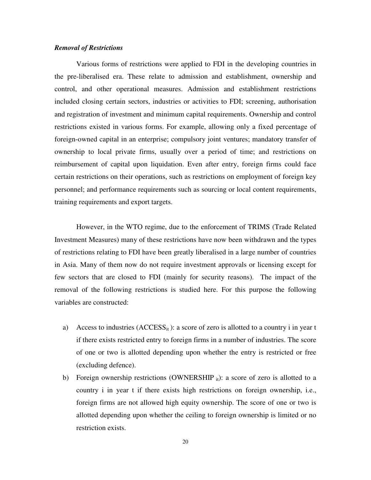### *Removal of Restrictions*

Various forms of restrictions were applied to FDI in the developing countries in the pre-liberalised era. These relate to admission and establishment, ownership and control, and other operational measures. Admission and establishment restrictions included closing certain sectors, industries or activities to FDI; screening, authorisation and registration of investment and minimum capital requirements. Ownership and control restrictions existed in various forms. For example, allowing only a fixed percentage of foreign-owned capital in an enterprise; compulsory joint ventures; mandatory transfer of ownership to local private firms, usually over a period of time; and restrictions on reimbursement of capital upon liquidation. Even after entry, foreign firms could face certain restrictions on their operations, such as restrictions on employment of foreign key personnel; and performance requirements such as sourcing or local content requirements, training requirements and export targets.

However, in the WTO regime, due to the enforcement of TRIMS (Trade Related Investment Measures) many of these restrictions have now been withdrawn and the types of restrictions relating to FDI have been greatly liberalised in a large number of countries in Asia. Many of them now do not require investment approvals or licensing except for few sectors that are closed to FDI (mainly for security reasons). The impact of the removal of the following restrictions is studied here. For this purpose the following variables are constructed:

- a) Access to industries  $(ACCESS_{it})$ : a score of zero is allotted to a country i in year t if there exists restricted entry to foreign firms in a number of industries. The score of one or two is allotted depending upon whether the entry is restricted or free (excluding defence).
- b) Foreign ownership restrictions (OWNERSHIP  $_{it}$ ): a score of zero is allotted to a country i in year t if there exists high restrictions on foreign ownership, i.e., foreign firms are not allowed high equity ownership. The score of one or two is allotted depending upon whether the ceiling to foreign ownership is limited or no restriction exists.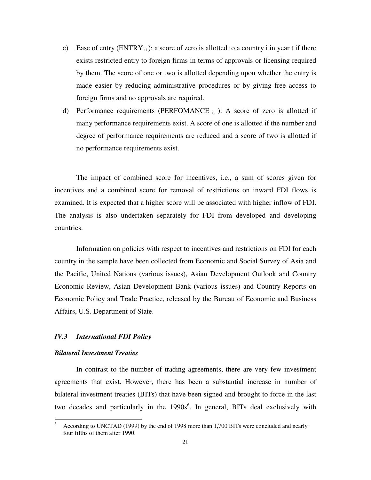- c) Ease of entry  $(ENTRY_{it})$ : a score of zero is allotted to a country i in year t if there exists restricted entry to foreign firms in terms of approvals or licensing required by them. The score of one or two is allotted depending upon whether the entry is made easier by reducing administrative procedures or by giving free access to foreign firms and no approvals are required.
- d) Performance requirements (PERFOMANCE  $_{it}$ ): A score of zero is allotted if many performance requirements exist. A score of one is allotted if the number and degree of performance requirements are reduced and a score of two is allotted if no performance requirements exist.

The impact of combined score for incentives, i.e., a sum of scores given for incentives and a combined score for removal of restrictions on inward FDI flows is examined. It is expected that a higher score will be associated with higher inflow of FDI. The analysis is also undertaken separately for FDI from developed and developing countries.

Information on policies with respect to incentives and restrictions on FDI for each country in the sample have been collected from Economic and Social Survey of Asia and the Pacific, United Nations (various issues), Asian Development Outlook and Country Economic Review, Asian Development Bank (various issues) and Country Reports on Economic Policy and Trade Practice, released by the Bureau of Economic and Business Affairs, U.S. Department of State.

### *IV.3 International FDI Policy*

#### *Bilateral Investment Treaties*

In contrast to the number of trading agreements, there are very few investment agreements that exist. However, there has been a substantial increase in number of bilateral investment treaties (BITs) that have been signed and brought to force in the last two decades and particularly in the 1990s **6** . In general, BITs deal exclusively with

<sup>6</sup> <sup>6</sup> According to UNCTAD (1999) by the end of 1998 more than 1,700 BITs were concluded and nearly four fifths of them after 1990.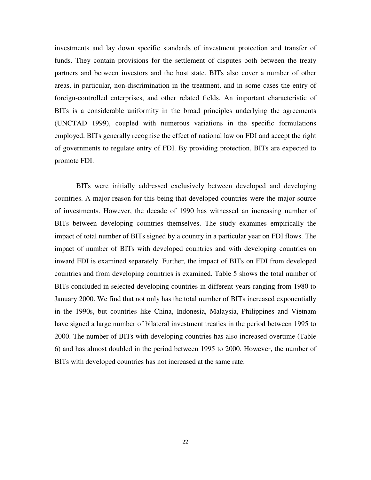investments and lay down specific standards of investment protection and transfer of funds. They contain provisions for the settlement of disputes both between the treaty partners and between investors and the host state. BITs also cover a number of other areas, in particular, non-discrimination in the treatment, and in some cases the entry of foreign-controlled enterprises, and other related fields. An important characteristic of BITs is a considerable uniformity in the broad principles underlying the agreements (UNCTAD 1999), coupled with numerous variations in the specific formulations employed. BITs generally recognise the effect of national law on FDI and accept the right of governments to regulate entry of FDI. By providing protection, BITs are expected to promote FDI.

BITs were initially addressed exclusively between developed and developing countries. A major reason for this being that developed countries were the major source of investments. However, the decade of 1990 has witnessed an increasing number of BITs between developing countries themselves. The study examines empirically the impact of total number of BITs signed by a country in a particular year on FDI flows. The impact of number of BITs with developed countries and with developing countries on inward FDI is examined separately. Further, the impact of BITs on FDI from developed countries and from developing countries is examined. Table 5 shows the total number of BITs concluded in selected developing countries in different years ranging from 1980 to January 2000. We find that not only has the total number of BITs increased exponentially in the 1990s, but countries like China, Indonesia, Malaysia, Philippines and Vietnam have signed a large number of bilateral investment treaties in the period between 1995 to 2000. The number of BITs with developing countries has also increased overtime (Table 6) and has almost doubled in the period between 1995 to 2000. However, the number of BITs with developed countries has not increased at the same rate.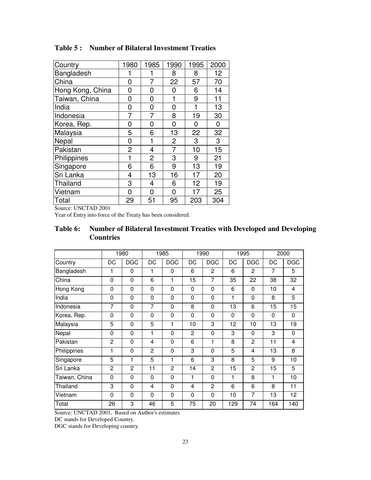| Country          | 1980 | 1985           | 1990           | 1995 | 2000 |
|------------------|------|----------------|----------------|------|------|
| Bangladesh       |      |                | 8              | 8    | 12   |
| China            | 0    | 7              | 22             | 57   | 70   |
| Hong Kong, China | 0    | 0              | 0              | 6    | 14   |
| Taiwan, China    | 0    | 0              |                | 9    | 11   |
| India            | 0    | 0              | 0              | 1    | 13   |
| Indonesia        | 7    | 7              | 8              | 19   | 30   |
| Korea, Rep.      | 0    | 0              | 0              | 0    | 0    |
| Malaysia         | 5    | 6              | 13             | 22   | 32   |
| Nepal            | 0    | 1              | $\overline{2}$ | 3    | 3    |
| Pakistan         | 2    | 4              | 7              | 10   | 15   |
| Philippines      | 1    | $\overline{2}$ | 3              | 9    | 21   |
| Singapore        | 6    | 6              | 9              | 13   | 19   |
| Sri Lanka        | 4    | 13             | 16             | 17   | 20   |
| Thailand         | 3    | 4              | 6              | 12   | 19   |
| Vietnam          | 0    | 0              | 0              | 17   | 25   |
| Total            | 29   | 51             | 95             | 203  | 304  |

# **Table 5 : Number of Bilateral Investment Treaties**

Source: UNCTAD 2001

Year of Entry into force of the Treaty has been considered.

# **Table 6: Number of Bilateral Investment Treaties with Developed and Developing Countries**

|               |                | 1980           |                         | 1985           |                | 1990           |     | 1995           |                | 2000       |
|---------------|----------------|----------------|-------------------------|----------------|----------------|----------------|-----|----------------|----------------|------------|
| Country       | DC             | <b>DGC</b>     | DC                      | DGC            | DC             | <b>DGC</b>     | DC  | <b>DGC</b>     | DC             | <b>DGC</b> |
| Bangladesh    | 1              | $\mathbf{0}$   | 1                       | $\Omega$       | 6              | $\overline{2}$ | 6   | $\mathbf{c}$   | $\overline{7}$ | 5          |
| China         | 0              | $\mathbf{0}$   | 6                       | 1              | 15             | 7              | 35  | 22             | 38             | 32         |
| Hong Kong     | 0              | $\mathbf{0}$   | $\Omega$                | $\Omega$       | $\Omega$       | $\mathbf 0$    | 6   | $\Omega$       | 10             | 4          |
| India         | 0              | 0              | $\mathbf 0$             | $\mathbf{0}$   | $\mathbf{0}$   | 0              | 1   | $\Omega$       | 8              | 5          |
| Indonesia     | 7              | $\mathbf{0}$   | 7                       | $\mathbf{0}$   | 8              | $\mathbf{0}$   | 13  | 6              | 15             | 15         |
| Korea, Rep.   | 0              | 0              | $\mathbf 0$             | $\mathbf{0}$   | $\mathbf{0}$   | 0              | 0   | $\Omega$       | 0              | 0          |
| Malaysia      | 5              | 0              | 5                       | 1              | 10             | 3              | 12  | 10             | 13             | 19         |
| Nepal         | 0              | $\mathbf{0}$   | 1                       | $\mathbf{0}$   | $\overline{2}$ | $\mathbf 0$    | 3   | $\Omega$       | 3              | 0          |
| Pakistan      | $\overline{2}$ | 0              | 4                       | $\mathbf{0}$   | 6              | 1              | 8   | $\overline{2}$ | 11             | 4          |
| Philippines   | 1              | 0              | $\overline{2}$          | $\mathbf{0}$   | 3              | $\mathbf{0}$   | 5   | 4              | 13             | 8          |
| Singapore     | 5              | 1              | 5                       | 1              | 6              | 3              | 8   | 5              | 9              | 10         |
| Sri Lanka     | $\overline{2}$ | $\overline{2}$ | 11                      | $\overline{2}$ | 14             | 2              | 15  | $\overline{2}$ | 15             | 5          |
| Taiwan, China | $\mathbf{0}$   | $\mathbf{0}$   | $\Omega$                | $\Omega$       | 1              | $\mathbf{0}$   | 1   | 8              | 1              | 10         |
| Thailand      | 3              | $\mathbf{0}$   | $\overline{\mathbf{4}}$ | $\Omega$       | 4              | $\overline{c}$ | 6   | 6              | 8              | 11         |
| Vietnam       | 0              | $\mathbf{0}$   | $\Omega$                | $\Omega$       | $\Omega$       | $\Omega$       | 10  | $\overline{7}$ | 13             | 12         |
| Total         | 26             | 3              | 46                      | 5              | 75             | 20             | 129 | 74             | 164            | 140        |

Source: UNCTAD 2001, Based on Author's estimates

DC stands for Developed Country.

DGC stands for Developing country.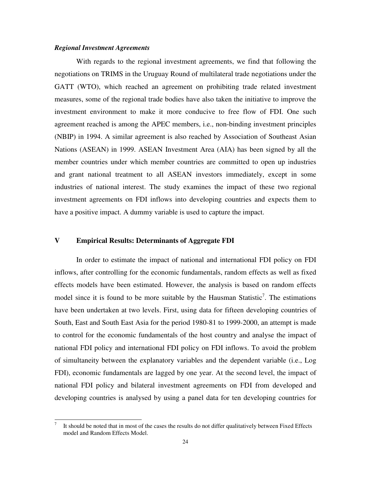#### *Regional Investment Agreements*

 $\overline{a}$ 

With regards to the regional investment agreements, we find that following the negotiations on TRIMS in the Uruguay Round of multilateral trade negotiations under the GATT (WTO), which reached an agreement on prohibiting trade related investment measures, some of the regional trade bodies have also taken the initiative to improve the investment environment to make it more conducive to free flow of FDI. One such agreement reached is among the APEC members, i.e., non-binding investment principles (NBIP) in 1994. A similar agreement is also reached by Association of Southeast Asian Nations (ASEAN) in 1999. ASEAN Investment Area (AIA) has been signed by all the member countries under which member countries are committed to open up industries and grant national treatment to all ASEAN investors immediately, except in some industries of national interest. The study examines the impact of these two regional investment agreements on FDI inflows into developing countries and expects them to have a positive impact. A dummy variable is used to capture the impact.

# **V Empirical Results: Determinants of Aggregate FDI**

In order to estimate the impact of national and international FDI policy on FDI inflows, after controlling for the economic fundamentals, random effects as well as fixed effects models have been estimated. However, the analysis is based on random effects model since it is found to be more suitable by the Hausman Statistic<sup>7</sup>. The estimations have been undertaken at two levels. First, using data for fifteen developing countries of South, East and South East Asia for the period 1980-81 to 1999-2000, an attempt is made to control for the economic fundamentals of the host country and analyse the impact of national FDI policy and international FDI policy on FDI inflows. To avoid the problem of simultaneity between the explanatory variables and the dependent variable (i.e., Log FDI), economic fundamentals are lagged by one year. At the second level, the impact of national FDI policy and bilateral investment agreements on FDI from developed and developing countries is analysed by using a panel data for ten developing countries for

<sup>7</sup> It should be noted that in most of the cases the results do not differ qualitatively between Fixed Effects model and Random Effects Model.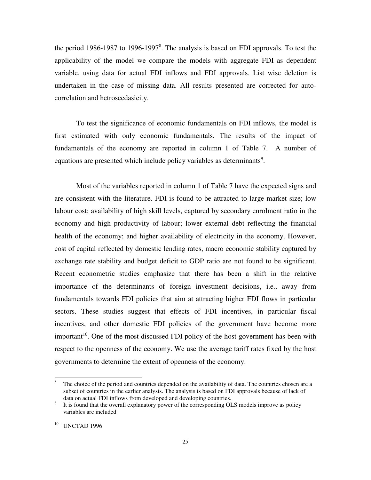the period 1986-1987 to 1996-1997<sup>8</sup>. The analysis is based on FDI approvals. To test the applicability of the model we compare the models with aggregate FDI as dependent variable, using data for actual FDI inflows and FDI approvals. List wise deletion is undertaken in the case of missing data. All results presented are corrected for autocorrelation and hetroscedasicity.

To test the significance of economic fundamentals on FDI inflows, the model is first estimated with only economic fundamentals. The results of the impact of fundamentals of the economy are reported in column 1 of Table 7. A number of equations are presented which include policy variables as determinants<sup>9</sup>.

Most of the variables reported in column 1 of Table 7 have the expected signs and are consistent with the literature. FDI is found to be attracted to large market size; low labour cost; availability of high skill levels, captured by secondary enrolment ratio in the economy and high productivity of labour; lower external debt reflecting the financial health of the economy; and higher availability of electricity in the economy. However, cost of capital reflected by domestic lending rates, macro economic stability captured by exchange rate stability and budget deficit to GDP ratio are not found to be significant. Recent econometric studies emphasize that there has been a shift in the relative importance of the determinants of foreign investment decisions, i.e., away from fundamentals towards FDI policies that aim at attracting higher FDI flows in particular sectors. These studies suggest that effects of FDI incentives, in particular fiscal incentives, and other domestic FDI policies of the government have become more important<sup>10</sup>. One of the most discussed FDI policy of the host government has been with respect to the openness of the economy. We use the average tariff rates fixed by the host governments to determine the extent of openness of the economy.

<sup>8</sup> The choice of the period and countries depended on the availability of data. The countries chosen are a subset of countries in the earlier analysis. The analysis is based on FDI approvals because of lack of data on actual FDI inflows from developed and developing countries.

<sup>8</sup> It is found that the overall explanatory power of the corresponding OLS models improve as policy variables are included

<sup>&</sup>lt;sup>10</sup> UNCTAD 1996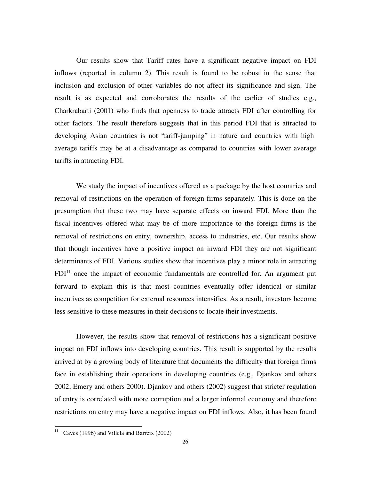Our results show that Tariff rates have a significant negative impact on FDI inflows (reported in column 2). This result is found to be robust in the sense that inclusion and exclusion of other variables do not affect its significance and sign. The result is as expected and corroborates the results of the earlier of studies e.g., Charkrabarti (2001) who finds that openness to trade attracts FDI after controlling for other factors. The result therefore suggests that in this period FDI that is attracted to developing Asian countries is not "tariff-jumping" in nature and countries with high average tariffs may be at a disadvantage as compared to countries with lower average tariffs in attracting FDI.

We study the impact of incentives offered as a package by the host countries and removal of restrictions on the operation of foreign firms separately. This is done on the presumption that these two may have separate effects on inward FDI. More than the fiscal incentives offered what may be of more importance to the foreign firms is the removal of restrictions on entry, ownership, access to industries, etc. Our results show that though incentives have a positive impact on inward FDI they are not significant determinants of FDI. Various studies show that incentives play a minor role in attracting  $FDI<sup>11</sup>$  once the impact of economic fundamentals are controlled for. An argument put forward to explain this is that most countries eventually offer identical or similar incentives as competition for external resources intensifies. As a result, investors become less sensitive to these measures in their decisions to locate their investments.

However, the results show that removal of restrictions has a significant positive impact on FDI inflows into developing countries. This result is supported by the results arrived at by a growing body of literature that documents the difficulty that foreign firms face in establishing their operations in developing countries (e.g., Djankov and others 2002; Emery and others 2000). Djankov and others (2002) suggest that stricter regulation of entry is correlated with more corruption and a larger informal economy and therefore restrictions on entry may have a negative impact on FDI inflows. Also, it has been found

 $11$  Caves (1996) and Villela and Barreix (2002)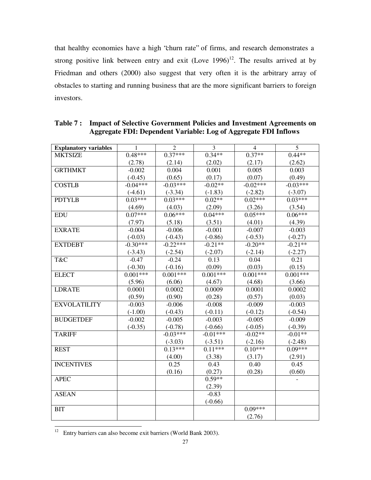that healthy economies have a high "churn rate" of firms, and research demonstrates a strong positive link between entry and exit  $(Love 1996)^{12}$ . The results arrived at by Friedman and others (2000) also suggest that very often it is the arbitrary array of obstacles to starting and running business that are the more significant barriers to foreign investors.

| <b>Explanatory variables</b> | 1          | $\overline{2}$ | 3          | $\overline{4}$ | 5          |
|------------------------------|------------|----------------|------------|----------------|------------|
| <b>MKTSIZE</b>               | $0.48***$  | $0.37***$      | $0.34**$   | $0.37**$       | $0.44**$   |
|                              | (2.78)     | (2.14)         | (2.02)     | (2.17)         | (2.62)     |
| <b>GRTHMKT</b>               | $-0.002$   | 0.004          | 0.001      | 0.005          | 0.003      |
|                              | $(-0.45)$  | (0.65)         | (0.17)     | (0.07)         | (0.49)     |
| <b>COSTLB</b>                | $-0.04***$ | $-0.03***$     | $-0.02**$  | $-0.02***$     | $-0.03***$ |
|                              | $(-4.61)$  | $(-3.34)$      | $(-1.83)$  | $(-2.82)$      | $(-3.07)$  |
| <b>PDTYLB</b>                | $0.03***$  | $0.03***$      | $0.02**$   | $0.02***$      | $0.03***$  |
|                              | (4.69)     | (4.03)         | (2.09)     | (3.26)         | (3.54)     |
| <b>EDU</b>                   | $0.07***$  | $0.06***$      | $0.04***$  | $0.05***$      | $0.06***$  |
|                              | (7.97)     | (5.18)         | (3.51)     | (4.01)         | (4.39)     |
| <b>EXRATE</b>                | $-0.004$   | $-0.006$       | $-0.001$   | $-0.007$       | $-0.003$   |
|                              | $(-0.03)$  | $(-0.43)$      | $(-0.86)$  | $(-0.53)$      | $(-0.27)$  |
| <b>EXTDEBT</b>               | $-0.30***$ | $-0.22***$     | $-0.21**$  | $-0.20**$      | $-0.21**$  |
|                              | $(-3.43)$  | $(-2.54)$      | $(-2.07)$  | $(-2.14)$      | $(-2.27)$  |
| T&C                          | $-0.47$    | $-0.24$        | 0.13       | 0.04           | 0.21       |
|                              | $(-0.30)$  | $(-0.16)$      | (0.09)     | (0.03)         | (0.15)     |
| <b>ELECT</b>                 | $0.001***$ | $0.001***$     | $0.001***$ | $0.001***$     | $0.001***$ |
|                              | (5.96)     | (6.06)         | (4.67)     | (4.68)         | (3.66)     |
| <b>LDRATE</b>                | 0.0001     | 0.0002         | 0.0009     | 0.0001         | 0.0002     |
|                              | (0.59)     | (0.90)         | (0.28)     | (0.57)         | (0.03)     |
| <b>EXVOLATILITY</b>          | $-0.003$   | $-0.006$       | $-0.008$   | $-0.009$       | $-0.003$   |
|                              | $(-1.00)$  | $(-0.43)$      | $(-0.11)$  | $(-0.12)$      | $(-0.54)$  |
| <b>BUDGETDEF</b>             | $-0.002$   | $-0.005$       | $-0.003$   | $-0.005$       | $-0.009$   |
|                              | $(-0.35)$  | $(-0.78)$      | $(-0.66)$  | $(-0.05)$      | $(-0.39)$  |
| <b>TARIFF</b>                |            | $-0.03***$     | $-0.01***$ | $-0.02**$      | $-0.01**$  |
|                              |            | $(-3.03)$      | $(-3.51)$  | $(-2.16)$      | $(-2.48)$  |
| <b>REST</b>                  |            | $0.13***$      | $0.11***$  | $0.10***$      | $0.09***$  |
|                              |            | (4.00)         | (3.38)     | (3.17)         | (2.91)     |
| <b>INCENTIVES</b>            |            | 0.25           | 0.43       | 0.40           | 0.45       |
|                              |            | (0.16)         | (0.27)     | (0.28)         | (0.60)     |
| <b>APEC</b>                  |            |                | $0.59**$   |                |            |
|                              |            |                | (2.39)     |                |            |
| <b>ASEAN</b>                 |            |                | $-0.83$    |                |            |
|                              |            |                | $(-0.66)$  |                |            |
| <b>BIT</b>                   |            |                |            | $0.09***$      |            |
|                              |            |                |            | (2.76)         |            |

**Table 7 : Impact of Selective Government Policies and Investment Agreements on Aggregate FDI: Dependent Variable: Log of Aggregate FDI Inflows**

 $12$  Entry barriers can also become exit barriers (World Bank 2003).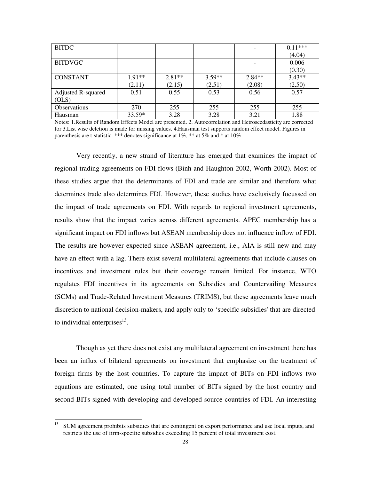| <b>BITDC</b>        |          |          |          |          | $0.11***$ |
|---------------------|----------|----------|----------|----------|-----------|
|                     |          |          |          |          | (4.04)    |
| <b>BITDVGC</b>      |          |          |          |          | 0.006     |
|                     |          |          |          |          | (0.30)    |
| <b>CONSTANT</b>     | $1.91**$ | $2.81**$ | $3.59**$ | $2.84**$ | $3.43**$  |
|                     | (2.11)   | (2.15)   | (2.51)   | (2.08)   | (2.50)    |
| Adjusted R-squared  | 0.51     | 0.55     | 0.53     | 0.56     | 0.57      |
| (OLS)               |          |          |          |          |           |
| <b>Observations</b> | 270      | 255      | 255      | 255      | 255       |
| Hausman             | $33.59*$ | 3.28     | 3.28     | 3.21     | 1.88      |

Notes: 1.Results of Random Effects Model are presented. 2. Autocorrelation and Hetroscedasticity are corrected for 3.List wise deletion is made for missing values. 4.Hausman test supports random effect model. Figures in parenthesis are t-statistic. \*\*\* denotes significance at 1%, \*\* at 5% and \* at 10%

Very recently, a new strand of literature has emerged that examines the impact of regional trading agreements on FDI flows (Binh and Haughton 2002, Worth 2002). Most of these studies argue that the determinants of FDI and trade are similar and therefore what determines trade also determines FDI. However, these studies have exclusively focussed on the impact of trade agreements on FDI. With regards to regional investment agreements, results show that the impact varies across different agreements. APEC membership has a significant impact on FDI inflows but ASEAN membership does not influence inflow of FDI. The results are however expected since ASEAN agreement, i.e., AIA is still new and may have an effect with a lag. There exist several multilateral agreements that include clauses on incentives and investment rules but their coverage remain limited. For instance, WTO regulates FDI incentives in its agreements on Subsidies and Countervailing Measures (SCMs) and Trade-Related Investment Measures (TRIMS), but these agreements leave much discretion to national decision-makers, and apply only to 'specific subsidies' that are directed to individual enterprises $^{13}$ .

Though as yet there does not exist any multilateral agreement on investment there has been an influx of bilateral agreements on investment that emphasize on the treatment of foreign firms by the host countries. To capture the impact of BITs on FDI inflows two equations are estimated, one using total number of BITs signed by the host country and second BITs signed with developing and developed source countries of FDI. An interesting

<sup>13</sup> <sup>13</sup> SCM agreement prohibits subsidies that are contingent on export performance and use local inputs, and restricts the use of firm-specific subsidies exceeding 15 percent of total investment cost.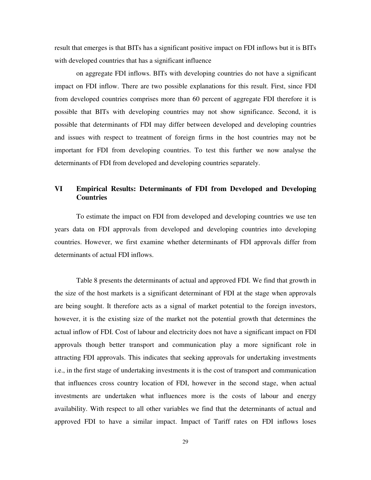result that emerges is that BITs has a significant positive impact on FDI inflows but it is BITs with developed countries that has a significant influence

on aggregate FDI inflows. BITs with developing countries do not have a significant impact on FDI inflow. There are two possible explanations for this result. First, since FDI from developed countries comprises more than 60 percent of aggregate FDI therefore it is possible that BITs with developing countries may not show significance. Second, it is possible that determinants of FDI may differ between developed and developing countries and issues with respect to treatment of foreign firms in the host countries may not be important for FDI from developing countries. To test this further we now analyse the determinants of FDI from developed and developing countries separately.

# **VI Empirical Results: Determinants of FDI from Developed and Developing Countries**

To estimate the impact on FDI from developed and developing countries we use ten years data on FDI approvals from developed and developing countries into developing countries. However, we first examine whether determinants of FDI approvals differ from determinants of actual FDI inflows.

Table 8 presents the determinants of actual and approved FDI. We find that growth in the size of the host markets is a significant determinant of FDI at the stage when approvals are being sought. It therefore acts as a signal of market potential to the foreign investors, however, it is the existing size of the market not the potential growth that determines the actual inflow of FDI. Cost of labour and electricity does not have a significant impact on FDI approvals though better transport and communication play a more significant role in attracting FDI approvals. This indicates that seeking approvals for undertaking investments i.e., in the first stage of undertaking investments it is the cost of transport and communication that influences cross country location of FDI, however in the second stage, when actual investments are undertaken what influences more is the costs of labour and energy availability. With respect to all other variables we find that the determinants of actual and approved FDI to have a similar impact. Impact of Tariff rates on FDI inflows loses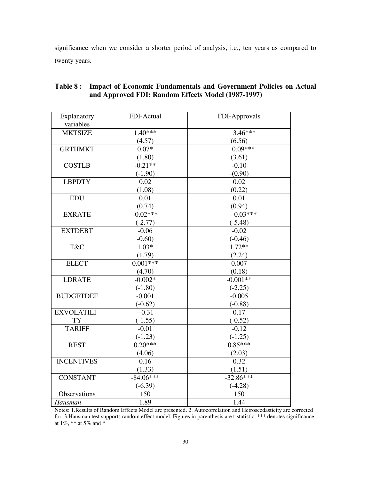significance when we consider a shorter period of analysis, i.e., ten years as compared to twenty years.

| Explanatory       | FDI-Actual  | FDI-Approvals |
|-------------------|-------------|---------------|
| variables         |             |               |
| <b>MKTSIZE</b>    | $1.40***$   | $3.46***$     |
|                   | (4.57)      | (6.56)        |
| <b>GRTHMKT</b>    | $0.07*$     | $0.09***$     |
|                   | (1.80)      | (3.61)        |
| <b>COSTLB</b>     | $-0.21**$   | $-0.10$       |
|                   | $(-1.90)$   | $-(0.90)$     |
| <b>LBPDTY</b>     | 0.02        | 0.02          |
|                   | (1.08)      | (0.22)        |
| <b>EDU</b>        | 0.01        | 0.01          |
|                   | (0.74)      | (0.94)        |
| <b>EXRATE</b>     | $-0.02***$  | $-0.03***$    |
|                   | $(-2.77)$   | $(-5.48)$     |
| <b>EXTDEBT</b>    | $-0.06$     | $-0.02$       |
|                   | $-0.60$ )   | $(-0.46)$     |
| T&C               | $1.03*$     | $1.72**$      |
|                   | (1.79)      | (2.24)        |
| <b>ELECT</b>      | $0.001***$  | 0.007         |
|                   | (4.70)      | (0.18)        |
| <b>LDRATE</b>     | $-0.002*$   | $-0.001**$    |
|                   | $(-1.80)$   | $(-2.25)$     |
| <b>BUDGETDEF</b>  | $-0.001$    | $-0.005$      |
|                   | $(-0.62)$   | $(-0.88)$     |
| <b>EXVOLATILI</b> | $-0.31$     | 0.17          |
| <b>TY</b>         | $(-1.55)$   | $(-0.52)$     |
| <b>TARIFF</b>     | $-0.01$     | $-0.12$       |
|                   | $(-1.23)$   | $(-1.25)$     |
| <b>REST</b>       | $0.20***$   | $0.85***$     |
|                   | (4.06)      | (2.03)        |
| <b>INCENTIVES</b> | 0.16        | 0.32          |
|                   | (1.33)      | (1.51)        |
| <b>CONSTANT</b>   | $-84.06***$ | $-32.86***$   |
|                   | $(-6.39)$   | $(-4.28)$     |
| Observations      | 150         | 150           |
| Hausman           | 1.89        | 1.44          |

# **Table 8 : Impact of Economic Fundamentals and Government Policies on Actual and Approved FDI: Random Effects Model (1987-1997)**

Notes: 1.Results of Random Effects Model are presented. 2. Autocorrelation and Hetroscedasticity are corrected for. 3.Hausman test supports random effect model. Figures in parenthesis are t-statistic. \*\*\* denotes significance at 1%, \*\* at 5% and \*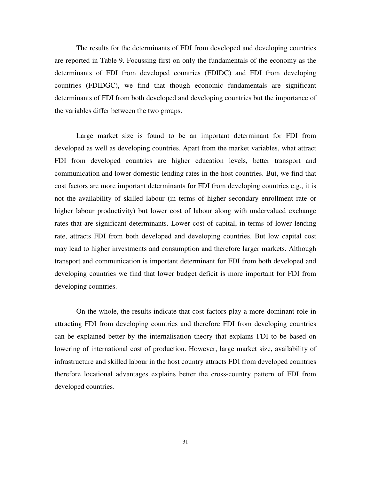The results for the determinants of FDI from developed and developing countries are reported in Table 9. Focussing first on only the fundamentals of the economy as the determinants of FDI from developed countries (FDIDC) and FDI from developing countries (FDIDGC), we find that though economic fundamentals are significant determinants of FDI from both developed and developing countries but the importance of the variables differ between the two groups.

Large market size is found to be an important determinant for FDI from developed as well as developing countries. Apart from the market variables, what attract FDI from developed countries are higher education levels, better transport and communication and lower domestic lending rates in the host countries. But, we find that cost factors are more important determinants for FDI from developing countries e.g., it is not the availability of skilled labour (in terms of higher secondary enrollment rate or higher labour productivity) but lower cost of labour along with undervalued exchange rates that are significant determinants. Lower cost of capital, in terms of lower lending rate, attracts FDI from both developed and developing countries. But low capital cost may lead to higher investments and consumption and therefore larger markets. Although transport and communication is important determinant for FDI from both developed and developing countries we find that lower budget deficit is more important for FDI from developing countries.

On the whole, the results indicate that cost factors play a more dominant role in attracting FDI from developing countries and therefore FDI from developing countries can be explained better by the internalisation theory that explains FDI to be based on lowering of international cost of production. However, large market size, availability of infrastructure and skilled labour in the host country attracts FDI from developed countries therefore locational advantages explains better the cross-country pattern of FDI from developed countries.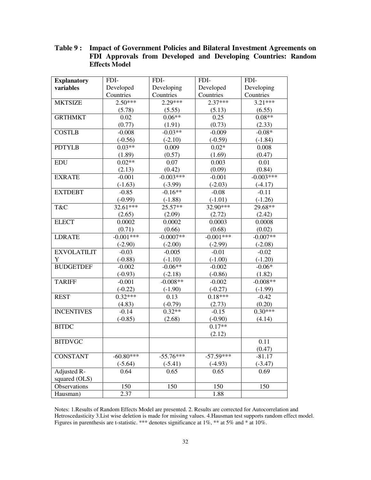| Table 9: Impact of Government Policies and Bilateral Investment Agreements on |                                                               |  |  |  |  |  |  |
|-------------------------------------------------------------------------------|---------------------------------------------------------------|--|--|--|--|--|--|
|                                                                               | FDI Approvals from Developed and Developing Countries: Random |  |  |  |  |  |  |
|                                                                               | <b>Effects Model</b>                                          |  |  |  |  |  |  |

| <b>Explanatory</b> | FDI-        | FDI-        | FDI-        | FDI-        |  |
|--------------------|-------------|-------------|-------------|-------------|--|
| variables          | Developed   | Developing  | Developed   | Developing  |  |
|                    | Countries   | Countries   | Countries   | Countries   |  |
| <b>MKTSIZE</b>     | $2.50***$   | 2.29***     | $2.37***$   | $3.21***$   |  |
|                    | (5.78)      | (5.55)      | (5.13)      | (6.55)      |  |
| <b>GRTHMKT</b>     | 0.02        | $0.06**$    | 0.25        | $0.08**$    |  |
|                    | (0.77)      | (1.91)      | (0.73)      | (2.33)      |  |
| <b>COSTLB</b>      | $-0.008$    | $-0.03**$   | $-0.009$    | $-0.08*$    |  |
|                    | $(-0.56)$   | $(-2.10)$   | $(-0.59)$   | $(-1.84)$   |  |
| <b>PDTYLB</b>      | $0.03**$    | 0.009       | $0.02*$     | 0.008       |  |
|                    | (1.89)      | (0.57)      | (1.69)      | (0.47)      |  |
| <b>EDU</b>         | $0.02**$    | 0.07        | 0.003       | 0.01        |  |
|                    | (2.13)      | (0.42)      | (0.09)      | (0.84)      |  |
| <b>EXRATE</b>      | $-0.001$    | $-0.003***$ | $-0.001$    | $-0.003***$ |  |
|                    | $(-1.63)$   | $(-3.99)$   | $(-2.03)$   | $(-4.17)$   |  |
| <b>EXTDEBT</b>     | $-0.85$     | $-0.16**$   | $-0.08$     | $-0.11$     |  |
|                    | $(-0.99)$   | $(-1.88)$   | $(-1.01)$   | $(-1.26)$   |  |
| T&C                | 32.61***    | 25.57**     | 32.90***    | 29.68**     |  |
|                    | (2.65)      | (2.09)      | (2.72)      | (2.42)      |  |
| <b>ELECT</b>       | 0.0002      | 0.0002      | 0.0003      | 0.0008      |  |
|                    | (0.71)      | (0.66)      | (0.68)      | (0.02)      |  |
| <b>LDRATE</b>      | $-0.001***$ | $-0.0007**$ | $-0.001***$ | $-0.007**$  |  |
|                    | $(-2.90)$   | $(-2.00)$   | $(-2.99)$   | $(-2.08)$   |  |
| <b>EXVOLATILIT</b> | $-0.03$     | $-0.005$    | $-0.01$     | $-0.02$     |  |
| Y                  | $(-0.88)$   | $(-1.10)$   | $(-1.00)$   | $(-1.20)$   |  |
| <b>BUDGETDEF</b>   | $-0.002$    | $-0.06**$   | $-0.002$    | $-0.06*$    |  |
|                    | $(-0.93)$   | $(-2.18)$   | $(-0.86)$   | (1.82)      |  |
| <b>TARIFF</b>      | $-0.001$    | $-0.008**$  | $-0.002$    | $-0.008**$  |  |
|                    | $(-0.22)$   | $(-1.90)$   | $(-0.27)$   | $(-1.99)$   |  |
| <b>REST</b>        | $0.32***$   | 0.13        | $0.18***$   | $-0.42$     |  |
|                    | (4.83)      | $(-0.79)$   | (2.73)      | (0.20)      |  |
| <b>INCENTIVES</b>  | $-0.14$     | $0.32**$    | $-0.15$     | $0.30***$   |  |
|                    | $(-0.85)$   | (2.68)      | $(-0.90)$   | (4.14)      |  |
| <b>BITDC</b>       |             |             | $0.17**$    |             |  |
|                    |             |             | (2.12)      |             |  |
| <b>BITDVGC</b>     |             |             |             | 0.11        |  |
|                    |             |             |             | (0.47)      |  |
| <b>CONSTANT</b>    | $-60.80***$ | $-55.76***$ | $-57.59***$ | $-81.17$    |  |
|                    | $(-5.64)$   | $(-5.41)$   | $(-4.93)$   | $(-3.47)$   |  |
| Adjusted R-        | 0.64        | 0.65        | 0.65        | 0.69        |  |
| squared (OLS)      |             |             |             |             |  |
| Observations       | 150         | 150         | 150         | 150         |  |
| Hausman)           | 2.37        |             | 1.88        |             |  |

Notes: 1.Results of Random Effects Model are presented. 2. Results are corrected for Autocorrelation and Hetroscedasticity 3.List wise deletion is made for missing values. 4.Hausman test supports random effect model. Figures in parenthesis are t-statistic. \*\*\* denotes significance at 1%, \*\* at 5% and \* at 10%.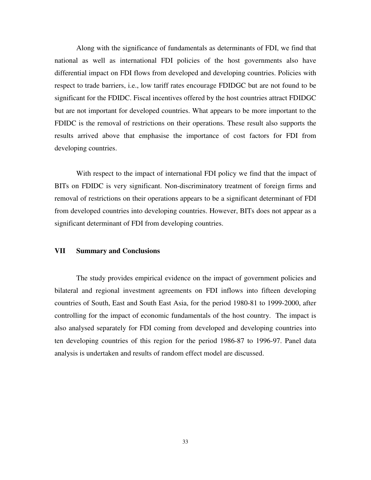Along with the significance of fundamentals as determinants of FDI, we find that national as well as international FDI policies of the host governments also have differential impact on FDI flows from developed and developing countries. Policies with respect to trade barriers, i.e., low tariff rates encourage FDIDGC but are not found to be significant for the FDIDC. Fiscal incentives offered by the host countries attract FDIDGC but are not important for developed countries. What appears to be more important to the FDIDC is the removal of restrictions on their operations. These result also supports the results arrived above that emphasise the importance of cost factors for FDI from developing countries.

With respect to the impact of international FDI policy we find that the impact of BITs on FDIDC is very significant. Non-discriminatory treatment of foreign firms and removal of restrictions on their operations appears to be a significant determinant of FDI from developed countries into developing countries. However, BITs does not appear as a significant determinant of FDI from developing countries.

# **VII Summary and Conclusions**

The study provides empirical evidence on the impact of government policies and bilateral and regional investment agreements on FDI inflows into fifteen developing countries of South, East and South East Asia, for the period 1980-81 to 1999-2000, after controlling for the impact of economic fundamentals of the host country. The impact is also analysed separately for FDI coming from developed and developing countries into ten developing countries of this region for the period 1986-87 to 1996-97. Panel data analysis is undertaken and results of random effect model are discussed.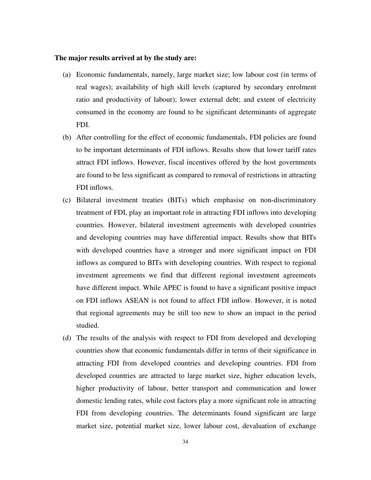#### **The major results arrived at by the study are:**

- (a) Economic fundamentals, namely, large market size; low labour cost (in terms of real wages); availability of high skill levels (captured by secondary enrolment ratio and productivity of labour); lower external debt; and extent of electricity consumed in the economy are found to be significant determinants of aggregate FDI.
- (b) After controlling for the effect of economic fundamentals, FDI policies are found to be important determinants of FDI inflows. Results show that lower tariff rates attract FDI inflows. However, fiscal incentives offered by the host governments are found to be less significant as compared to removal of restrictions in attracting FDI inflows.
- (c) Bilateral investment treaties (BITs) which emphasise on non-discriminatory treatment of FDI, play an important role in attracting FDI inflows into developing countries. However, bilateral investment agreements with developed countries and developing countries may have differential impact. Results show that BITs with developed countries have a stronger and more significant impact on FDI inflows as compared to BITs with developing countries. With respect to regional investment agreements we find that different regional investment agreements have different impact. While APEC is found to have a significant positive impact on FDI inflows ASEAN is not found to affect FDI inflow. However, it is noted that regional agreements may be still too new to show an impact in the period studied.
- (d) The results of the analysis with respect to FDI from developed and developing countries show that economic fundamentals differ in terms of their significance in attracting FDI from developed countries and developing countries. FDI from developed countries are attracted to large market size, higher education levels, higher productivity of labour, better transport and communication and lower domestic lending rates, while cost factors play a more significant role in attracting FDI from developing countries. The determinants found significant are large market size, potential market size, lower labour cost, devaluation of exchange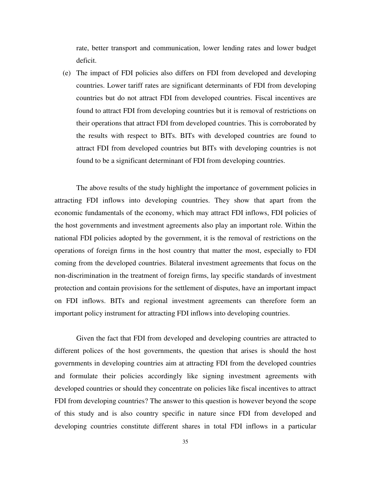rate, better transport and communication, lower lending rates and lower budget deficit.

(e) The impact of FDI policies also differs on FDI from developed and developing countries. Lower tariff rates are significant determinants of FDI from developing countries but do not attract FDI from developed countries. Fiscal incentives are found to attract FDI from developing countries but it is removal of restrictions on their operations that attract FDI from developed countries. This is corroborated by the results with respect to BITs. BITs with developed countries are found to attract FDI from developed countries but BITs with developing countries is not found to be a significant determinant of FDI from developing countries.

The above results of the study highlight the importance of government policies in attracting FDI inflows into developing countries. They show that apart from the economic fundamentals of the economy, which may attract FDI inflows, FDI policies of the host governments and investment agreements also play an important role. Within the national FDI policies adopted by the government, it is the removal of restrictions on the operations of foreign firms in the host country that matter the most, especially to FDI coming from the developed countries. Bilateral investment agreements that focus on the non-discrimination in the treatment of foreign firms, lay specific standards of investment protection and contain provisions for the settlement of disputes, have an important impact on FDI inflows. BITs and regional investment agreements can therefore form an important policy instrument for attracting FDI inflows into developing countries.

Given the fact that FDI from developed and developing countries are attracted to different polices of the host governments, the question that arises is should the host governments in developing countries aim at attracting FDI from the developed countries and formulate their policies accordingly like signing investment agreements with developed countries or should they concentrate on policies like fiscal incentives to attract FDI from developing countries? The answer to this question is however beyond the scope of this study and is also country specific in nature since FDI from developed and developing countries constitute different shares in total FDI inflows in a particular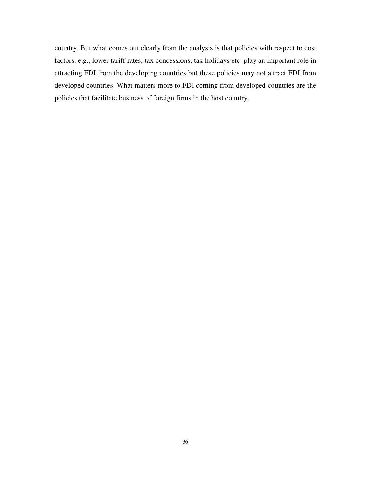country. But what comes out clearly from the analysis is that policies with respect to cost factors, e.g., lower tariff rates, tax concessions, tax holidays etc. play an important role in attracting FDI from the developing countries but these policies may not attract FDI from developed countries. What matters more to FDI coming from developed countries are the policies that facilitate business of foreign firms in the host country.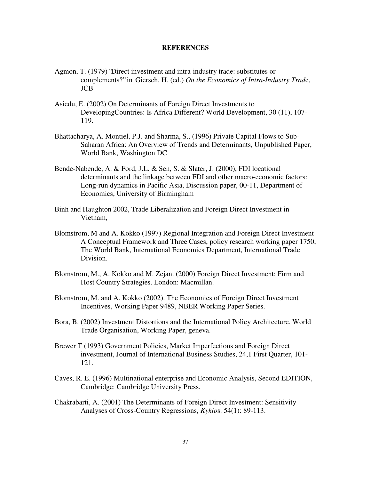#### **REFERENCES**

- Agmon, T. (1979) "Direct investment and intra-industry trade: substitutes or complements?" in Giersch, H. (ed.) *On the Economics of Intra-Industry Trad*e, JCB
- Asiedu, E. (2002) On Determinants of Foreign Direct Investments to DevelopingCountries: Is Africa Different? World Development, 30 (11), 107- 119.
- Bhattacharya, A. Montiel, P.J. and Sharma, S., (1996) Private Capital Flows to Sub-Saharan Africa: An Overview of Trends and Determinants, Unpublished Paper, World Bank, Washington DC
- Bende-Nabende, A. & Ford, J.L. & Sen, S. & Slater, J. (2000), FDI locational determinants and the linkage between FDI and other macro-economic factors: Long-run dynamics in Pacific Asia, Discussion paper, 00-11, Department of Economics, University of Birmingham
- Binh and Haughton 2002, Trade Liberalization and Foreign Direct Investment in Vietnam,
- Blomstrom, M and A. Kokko (1997) Regional Integration and Foreign Direct Investment A Conceptual Framework and Three Cases, policy research working paper 1750, The World Bank, International Economics Department, International Trade Division.
- Blomström, M., A. Kokko and M. Zejan. (2000) Foreign Direct Investment: Firm and Host Country Strategies. London: Macmillan.
- Blomström, M. and A. Kokko (2002). The Economics of Foreign Direct Investment Incentives, Working Paper 9489, NBER Working Paper Series.
- Bora, B. (2002) Investment Distortions and the International Policy Architecture, World Trade Organisation, Working Paper, geneva.
- Brewer T (1993) Government Policies, Market Imperfections and Foreign Direct investment, Journal of International Business Studies, 24,1 First Quarter, 101- 121.
- Caves, R. E. (1996) Multinational enterprise and Economic Analysis, Second EDITION, Cambridge: Cambridge University Press.
- Chakrabarti, A. (2001) The Determinants of Foreign Direct Investment: Sensitivity Analyses of Cross-Country Regressions, *Kyklo*s. 54(1): 89-113.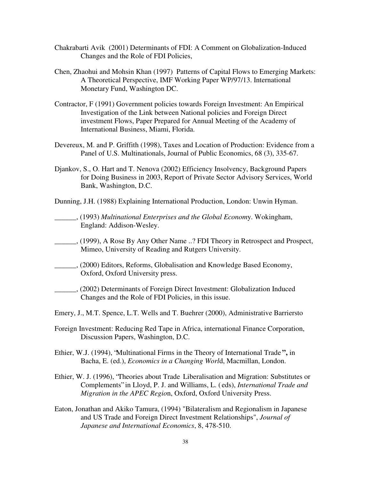- Chakrabarti Avik (2001) Determinants of FDI: A Comment on Globalization-Induced Changes and the Role of FDI Policies,
- Chen, Zhaohui and Mohsin Khan (1997) Patterns of Capital Flows to Emerging Markets: A Theoretical Perspective, IMF Working Paper WP/97/13. International Monetary Fund, Washington DC.
- Contractor, F (1991) Government policies towards Foreign Investment: An Empirical Investigation of the Link between National policies and Foreign Direct investment Flows, Paper Prepared for Annual Meeting of the Academy of International Business, Miami, Florida.
- Devereux, M. and P. Griffith (1998), Taxes and Location of Production: Evidence from a Panel of U.S. Multinationals, Journal of Public Economics, 68 (3), 335-67.
- Djankov, S., O. Hart and T. Nenova (2002) Efficiency Insolvency, Background Papers for Doing Business in 2003, Report of Private Sector Advisory Services, World Bank, Washington, D.C.
- Dunning, J.H. (1988) Explaining International Production, London: Unwin Hyman.
- \_\_\_\_\_\_, (1993) *Multinational Enterprises and the Global Econom*y. Wokingham, England: Addison-Wesley.
- \_\_\_\_\_\_, (1999), A Rose By Any Other Name ..? FDI Theory in Retrospect and Prospect, Mimeo, University of Reading and Rutgers University.
- \_\_\_\_\_\_, (2000) Editors, Reforms, Globalisation and Knowledge Based Economy, Oxford, Oxford University press.
- \_\_\_\_\_\_, (2002) Determinants of Foreign Direct Investment: Globalization Induced Changes and the Role of FDI Policies, in this issue.
- Emery, J., M.T. Spence, L.T. Wells and T. Buehrer (2000), Administrative Barriersto
- Foreign Investment: Reducing Red Tape in Africa, international Finance Corporation, Discussion Papers, Washington, D.C.
- Ethier, W.J. (1994), "Multinational Firms in the Theory of International Trade **",** in Bacha, E. (ed.), *Economics in a Changing Worl*d, Macmillan, London.
- Ethier, W. J. (1996), "Theories about Trade Liberalisation and Migration: Substitutes or Complements" in Lloyd, P. J. and Williams, L. ( eds), *International Trade and Migration in the APEC Regio*n, Oxford, Oxford University Press.
- Eaton, Jonathan and Akiko Tamura, (1994) "Bilateralism and Regionalism in Japanese and US Trade and Foreign Direct Investment Relationships", *Journal of Japanese and International Economics*, 8, 478-510.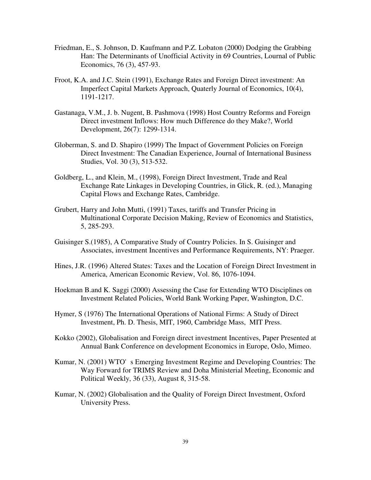- Friedman, E., S. Johnson, D. Kaufmann and P.Z. Lobaton (2000) Dodging the Grabbing Han: The Determinants of Unofficial Activity in 69 Countries, Lournal of Public Economics, 76 (3), 457-93.
- Froot, K.A. and J.C. Stein (1991), Exchange Rates and Foreign Direct investment: An Imperfect Capital Markets Approach, Quaterly Journal of Economics, 10(4), 1191-1217.
- Gastanaga, V.M., J. b. Nugent, B. Pashmova (1998) Host Country Reforms and Foreign Direct investment Inflows: How much Difference do they Make?, World Development, 26(7): 1299-1314.
- Globerman, S. and D. Shapiro (1999) The Impact of Government Policies on Foreign Direct Investment: The Canadian Experience, Journal of International Business Studies, Vol. 30 (3), 513-532.
- Goldberg, L., and Klein, M., (1998), Foreign Direct Investment, Trade and Real Exchange Rate Linkages in Developing Countries, in Glick, R. (ed.), Managing Capital Flows and Exchange Rates, Cambridge.
- Grubert, Harry and John Mutti, (1991) Taxes, tariffs and Transfer Pricing in Multinational Corporate Decision Making, Review of Economics and Statistics, 5, 285-293.
- Guisinger S.(1985), A Comparative Study of Country Policies. In S. Guisinger and Associates, investment Incentives and Performance Requirements, NY: Praeger.
- Hines, J.R. (1996) Altered States: Taxes and the Location of Foreign Direct Investment in America, American Economic Review, Vol. 86, 1076-1094.
- Hoekman B.and K. Saggi (2000) Assessing the Case for Extending WTO Disciplines on Investment Related Policies, World Bank Working Paper, Washington, D.C.
- Hymer, S (1976) The International Operations of National Firms: A Study of Direct Investment, Ph. D. Thesis, MIT, 1960, Cambridge Mass, MIT Press.
- Kokko (2002), Globalisation and Foreign direct investment Incentives, Paper Presented at Annual Bank Conference on development Economics in Europe, Oslo, Mimeo.
- Kumar, N. (2001) WTO's Emerging Investment Regime and Developing Countries: The Way Forward for TRIMS Review and Doha Ministerial Meeting, Economic and Political Weekly, 36 (33), August 8, 315-58.
- Kumar, N. (2002) Globalisation and the Quality of Foreign Direct Investment, Oxford University Press.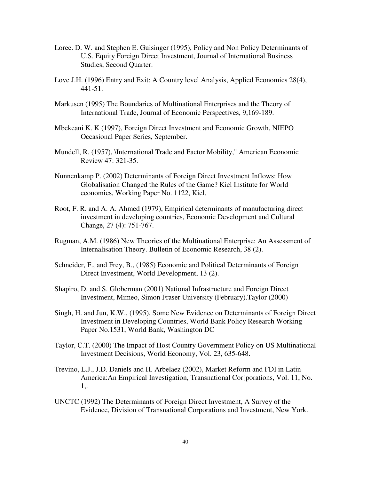- Loree. D. W. and Stephen E. Guisinger (1995), Policy and Non Policy Determinants of U.S. Equity Foreign Direct Investment, Journal of International Business Studies, Second Quarter.
- Love J.H. (1996) Entry and Exit: A Country level Analysis, Applied Economics 28(4), 441-51.
- Markusen (1995) The Boundaries of Multinational Enterprises and the Theory of International Trade, Journal of Economic Perspectives, 9,169-189.
- Mbekeani K. K (1997), Foreign Direct Investment and Economic Growth, NIEPO Occasional Paper Series, September.
- Mundell, R. (1957), \International Trade and Factor Mobility," American Economic Review 47: 321-35.
- Nunnenkamp P. (2002) Determinants of Foreign Direct Investment Inflows: How Globalisation Changed the Rules of the Game? Kiel Institute for World economics, Working Paper No. 1122, Kiel.
- Root, F. R. and A. A. Ahmed (1979), Empirical determinants of manufacturing direct investment in developing countries, Economic Development and Cultural Change, 27 (4): 751-767.
- Rugman, A.M. (1986) New Theories of the Multinational Enterprise: An Assessment of Internalisation Theory. Bulletin of Economic Research, 38 (2).
- Schneider, F., and Frey, B., (1985) Economic and Political Determinants of Foreign Direct Investment, World Development, 13 (2).
- Shapiro, D. and S. Globerman (2001) National Infrastructure and Foreign Direct Investment, Mimeo, Simon Fraser University (February).Taylor (2000)
- Singh, H. and Jun, K.W., (1995), Some New Evidence on Determinants of Foreign Direct Investment in Developing Countries, World Bank Policy Research Working Paper No.1531, World Bank, Washington DC
- Taylor, C.T. (2000) The Impact of Host Country Government Policy on US Multinational Investment Decisions, World Economy, Vol. 23, 635-648.
- Trevino, L.J., J.D. Daniels and H. Arbelaez (2002), Market Reform and FDI in Latin America:An Empirical Investigation, Transnational Cor[porations, Vol. 11, No. 1,.
- UNCTC (1992) The Determinants of Foreign Direct Investment, A Survey of the Evidence, Division of Transnational Corporations and Investment, New York.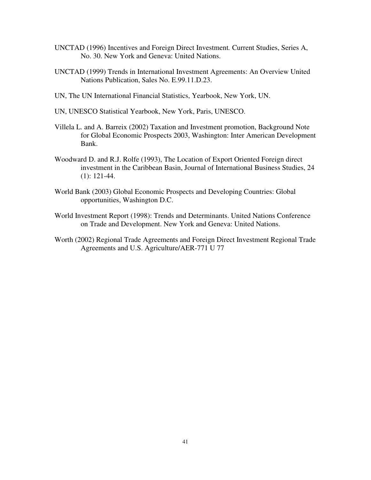- UNCTAD (1996) Incentives and Foreign Direct Investment*.* Current Studies, Series A, No. 30. New York and Geneva: United Nations.
- UNCTAD (1999) Trends in International Investment Agreements: An Overview United Nations Publication, Sales No. E.99.11.D.23.
- UN, The UN International Financial Statistics, Yearbook, New York, UN.
- UN, UNESCO Statistical Yearbook, New York, Paris, UNESCO.
- Villela L. and A. Barreix (2002) Taxation and Investment promotion, Background Note for Global Economic Prospects 2003, Washington: Inter American Development Bank.
- Woodward D. and R.J. Rolfe (1993), The Location of Export Oriented Foreign direct investment in the Caribbean Basin, Journal of International Business Studies, 24 (1): 121-44.
- World Bank (2003) Global Economic Prospects and Developing Countries: Global opportunities, Washington D.C.
- World Investment Report (1998): Trends and Determinants. United Nations Conference on Trade and Development. New York and Geneva: United Nations.
- Worth (2002) Regional Trade Agreements and Foreign Direct Investment Regional Trade Agreements and U.S. Agriculture/AER-771 U 77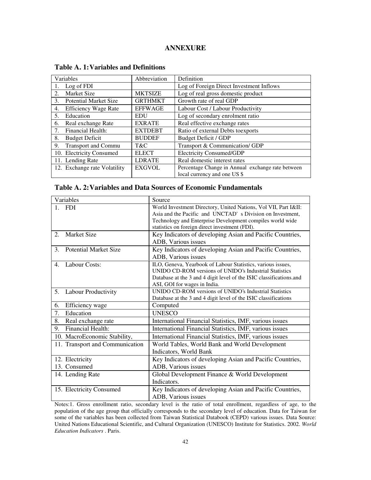# **ANNEXURE**

| Variables                                     | Abbreviation   | Definition                                        |  |  |
|-----------------------------------------------|----------------|---------------------------------------------------|--|--|
| Log of FDI                                    |                | Log of Foreign Direct Investment Inflows          |  |  |
| Market Size<br>2.                             | <b>MKTSIZE</b> | Log of real gross domestic product                |  |  |
| <b>Potential Market Size</b><br>3.            | <b>GRTHMKT</b> | Growth rate of real GDP                           |  |  |
| <b>Efficiency Wage Rate</b><br>4.             | <b>EFFWAGE</b> | Labour Cost / Labour Productivity                 |  |  |
| Education<br>5.                               | <b>EDU</b>     | Log of secondary enrolment ratio                  |  |  |
| Real exchange Rate<br>6.                      | <b>EXRATE</b>  | Real effective exchange rates                     |  |  |
| Financial Health:<br>7.                       | <b>EXTDEBT</b> | Ratio of external Debts to exports                |  |  |
| <b>Budget Deficit</b><br>8.                   | <b>BUDDEF</b>  | <b>Budget Deficit / GDP</b>                       |  |  |
| <b>Transport and Commu</b><br>9.              | T&C            | Transport & Communication/ GDP                    |  |  |
| 10. Electricity Consumed                      | <b>ELECT</b>   | <b>Electricity Consumed/GDP</b>                   |  |  |
| 11. Lending Rate                              | <b>LDRATE</b>  | Real domestic interest rates                      |  |  |
| 12. Exchange rate Volatility<br><b>EXGVOL</b> |                | Percentage Change in Annual exchange rate between |  |  |
|                                               |                | local currency and one US \$                      |  |  |

# **Table A. 1:Variables and Definitions**

# **Table A. 2:Variables and Data Sources of Economic Fundamentals**

| Variables                               | Source                                                                                 |  |  |  |
|-----------------------------------------|----------------------------------------------------------------------------------------|--|--|--|
| <b>FDI</b>                              | World Investment Directory, United Nations, Vol VII, Part I&II:                        |  |  |  |
|                                         | Asia and the Pacific and UNCTAD's Division on Investment,                              |  |  |  |
|                                         | Technology and Enterprise Development compiles world wide                              |  |  |  |
|                                         | statistics on foreign direct investment (FDI).                                         |  |  |  |
| <b>Market Size</b><br>2.                | Key Indicators of developing Asian and Pacific Countries,                              |  |  |  |
|                                         | ADB, Various issues                                                                    |  |  |  |
| <b>Potential Market Size</b><br>$3_{-}$ | Key Indicators of developing Asian and Pacific Countries,                              |  |  |  |
|                                         | ADB, Various issues                                                                    |  |  |  |
| <b>Labour Costs:</b><br>4.              | ILO, Geneva, Yearbook of Labour Statistics, various issues,                            |  |  |  |
|                                         | UNIDO CD-ROM versions of UNIDO's Industrial Statistics                                 |  |  |  |
|                                         | Database at the 3 and 4 digit level of the ISIC classifications.and                    |  |  |  |
|                                         | ASI, GOI for wages in India.<br>UNIDO CD-ROM versions of UNIDO's Industrial Statistics |  |  |  |
| Labour Productivity<br>5.               | Database at the 3 and 4 digit level of the ISIC classifications                        |  |  |  |
| Efficiency wage<br>6.                   | Computed                                                                               |  |  |  |
| Education<br>7.                         | <b>UNESCO</b>                                                                          |  |  |  |
| 8.                                      |                                                                                        |  |  |  |
| Real exchange rate                      | International Financial Statistics, IMF, various issues                                |  |  |  |
| <b>Financial Health:</b><br>9.          | International Financial Statistics, IMF, various issues                                |  |  |  |
| 10. MacroEconomic Stability,            | International Financial Statistics, IMF, various issues                                |  |  |  |
| 11. Transport and Communication         | World Tables, World Bank and World Development                                         |  |  |  |
|                                         | Indicators, World Bank                                                                 |  |  |  |
| 12. Electricity                         | Key Indicators of developing Asian and Pacific Countries,                              |  |  |  |
| 13. Consumed                            | ADB, Various issues                                                                    |  |  |  |
| 14. Lending Rate                        | Global Development Finance & World Development                                         |  |  |  |
|                                         | Indicators.                                                                            |  |  |  |
| 15. Electricity Consumed                | Key Indicators of developing Asian and Pacific Countries,                              |  |  |  |
|                                         | ADB, Various issues                                                                    |  |  |  |

Notes:1. Gross enrollment ratio, secondary level is the ratio of total enrollment, regardless of age, to the population of the age group that officially corresponds to the secondary level of education. Data for Taiwan for some of the variables has been collected from Taiwan Statistical Databook (CEPD) various issues. Data Source: United Nations Educational Scientific, and Cultural Organization (UNESCO) Institute for Statistics. 2002. *World Education Indicators* . Paris.